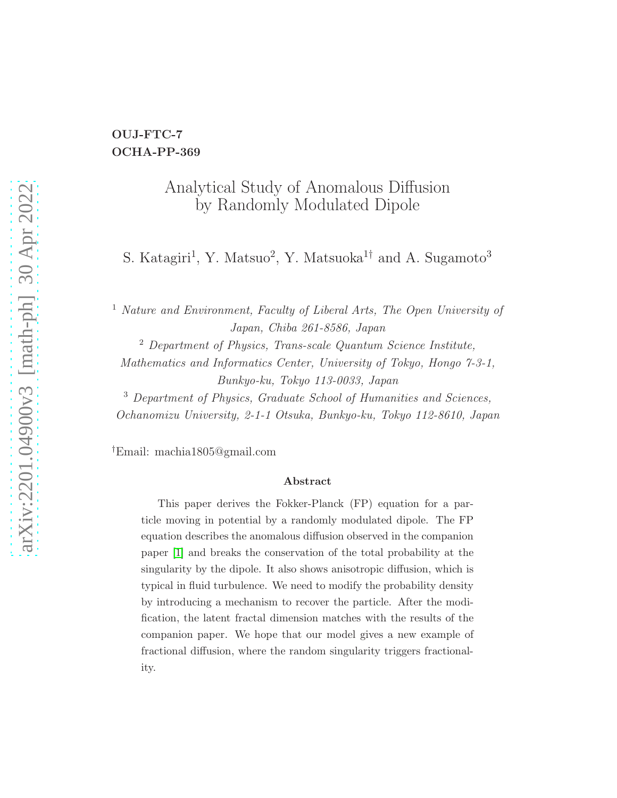### OUJ-FTC-7 OCHA-PP-369

### Analytical Study of Anomalous Diffusion by Randomly Modulated Dipole

S. Katagiri<sup>1</sup>, Y. Matsuo<sup>2</sup>, Y. Matsuoka<sup>1†</sup> and A. Sugamoto<sup>3</sup>

<sup>1</sup> Nature and Environment, Faculty of Liberal Arts, The Open University of Japan, Chiba 261-8586, Japan

<sup>2</sup> Department of Physics, Trans-scale Quantum Science Institute, Mathematics and Informatics Center, University of Tokyo, Hongo 7-3-1, Bunkyo-ku, Tokyo 113-0033, Japan

<sup>3</sup> Department of Physics, Graduate School of Humanities and Sciences, Ochanomizu University, 2-1-1 Otsuka, Bunkyo-ku, Tokyo 112-8610, Japan

†Email: machia1805@gmail.com

#### Abstract

This paper derives the Fokker-Planck (FP) equation for a particle moving in potential by a randomly modulated dipole. The FP equation describes the anomalous diffusion observed in the companion paper [\[1\]](#page-34-0) and breaks the conservation of the total probability at the singularity by the dipole. It also shows anisotropic diffusion, which is typical in fluid turbulence. We need to modify the probability density by introducing a mechanism to recover the particle. After the modification, the latent fractal dimension matches with the results of the companion paper. We hope that our model gives a new example of fractional diffusion, where the random singularity triggers fractionality.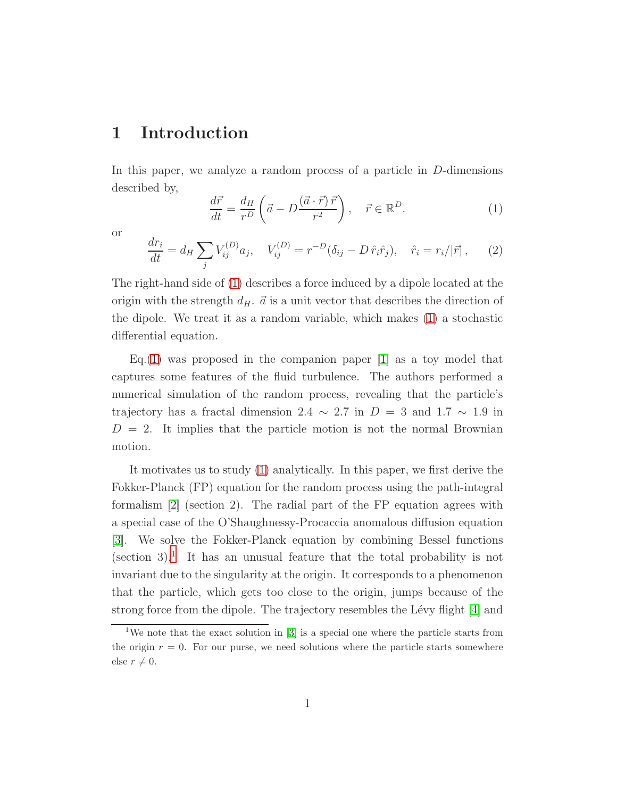### 1 Introduction

In this paper, we analyze a random process of a particle in D-dimensions described by,

<span id="page-1-0"></span>
$$
\frac{d\vec{r}}{dt} = \frac{d_H}{r^D} \left( \vec{a} - D \frac{(\vec{a} \cdot \vec{r}) \vec{r}}{r^2} \right), \quad \vec{r} \in \mathbb{R}^D.
$$
\n(1)

or

<span id="page-1-2"></span>
$$
\frac{dr_i}{dt} = d_H \sum_j V_{ij}^{(D)} a_j, \quad V_{ij}^{(D)} = r^{-D} (\delta_{ij} - D \hat{r}_i \hat{r}_j), \quad \hat{r}_i = r_i/|\vec{r}| \,, \tag{2}
$$

The right-hand side of [\(1\)](#page-1-0) describes a force induced by a dipole located at the origin with the strength  $d_H$ .  $\vec{a}$  is a unit vector that describes the direction of the dipole. We treat it as a random variable, which makes [\(1\)](#page-1-0) a stochastic differential equation.

Eq.[\(1\)](#page-1-0) was proposed in the companion paper  $[1]$  as a toy model that captures some features of the fluid turbulence. The authors performed a numerical simulation of the random process, revealing that the particle's trajectory has a fractal dimension 2.4  $\sim$  2.7 in D = 3 and 1.7  $\sim$  1.9 in  $D = 2$ . It implies that the particle motion is not the normal Brownian motion.

It motivates us to study [\(1\)](#page-1-0) analytically. In this paper, we first derive the Fokker-Planck (FP) equation for the random process using the path-integral formalism [\[2\]](#page-35-0) (section 2). The radial part of the FP equation agrees with a special case of the O'Shaughnessy-Procaccia anomalous diffusion equation [\[3\]](#page-35-1). We solve the Fokker-Planck equation by combining Bessel functions  $(\text{section } 3)$ <sup>[1](#page-1-1)</sup>. It has an unusual feature that the total probability is not invariant due to the singularity at the origin. It corresponds to a phenomenon that the particle, which gets too close to the origin, jumps because of the strong force from the dipole. The trajectory resembles the Lévy flight [\[4\]](#page-35-2) and

<span id="page-1-1"></span><sup>&</sup>lt;sup>1</sup>We note that the exact solution in  $[3]$  is a special one where the particle starts from the origin  $r = 0$ . For our purse, we need solutions where the particle starts somewhere else  $r \neq 0$ .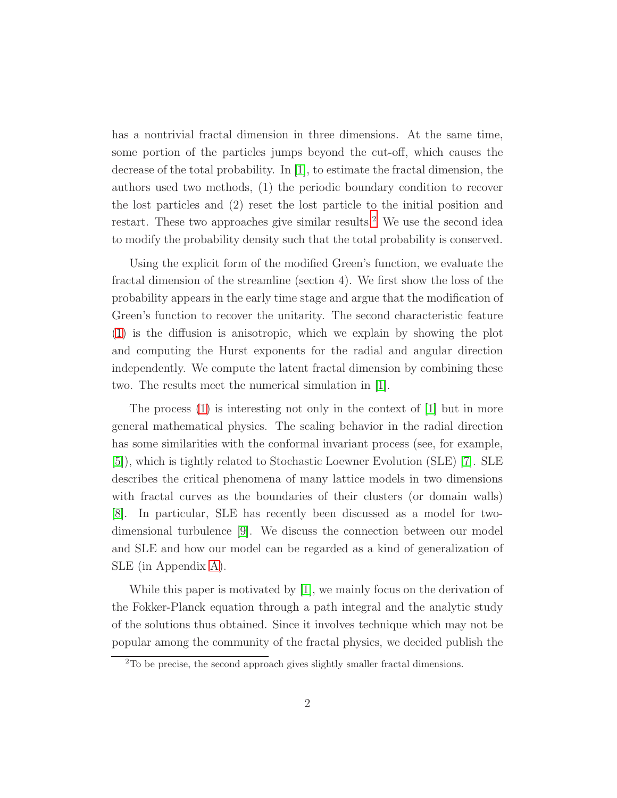has a nontrivial fractal dimension in three dimensions. At the same time, some portion of the particles jumps beyond the cut-off, which causes the decrease of the total probability. In [\[1\]](#page-34-0), to estimate the fractal dimension, the authors used two methods, (1) the periodic boundary condition to recover the lost particles and (2) reset the lost particle to the initial position and restart. These two approaches give similar results.<sup>[2](#page-2-0)</sup> We use the second idea to modify the probability density such that the total probability is conserved.

Using the explicit form of the modified Green's function, we evaluate the fractal dimension of the streamline (section 4). We first show the loss of the probability appears in the early time stage and argue that the modification of Green's function to recover the unitarity. The second characteristic feature [\(1\)](#page-1-0) is the diffusion is anisotropic, which we explain by showing the plot and computing the Hurst exponents for the radial and angular direction independently. We compute the latent fractal dimension by combining these two. The results meet the numerical simulation in [\[1\]](#page-34-0).

The process [\(1\)](#page-1-0) is interesting not only in the context of [\[1\]](#page-34-0) but in more general mathematical physics. The scaling behavior in the radial direction has some similarities with the conformal invariant process (see, for example, [\[5\]](#page-35-3)), which is tightly related to Stochastic Loewner Evolution (SLE) [\[7\]](#page-35-4). SLE describes the critical phenomena of many lattice models in two dimensions with fractal curves as the boundaries of their clusters (or domain walls) [\[8\]](#page-35-5). In particular, SLE has recently been discussed as a model for twodimensional turbulence [\[9\]](#page-36-0). We discuss the connection between our model and SLE and how our model can be regarded as a kind of generalization of SLE (in Appendix [A\)](#page-22-0).

While this paper is motivated by [\[1\]](#page-34-0), we mainly focus on the derivation of the Fokker-Planck equation through a path integral and the analytic study of the solutions thus obtained. Since it involves technique which may not be popular among the community of the fractal physics, we decided publish the

<span id="page-2-0"></span><sup>2</sup>To be precise, the second approach gives slightly smaller fractal dimensions.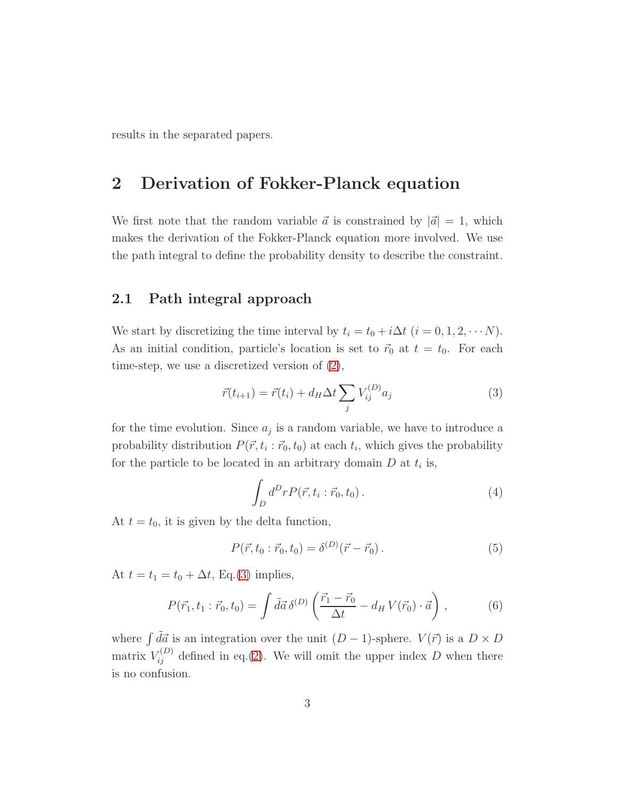results in the separated papers.

### 2 Derivation of Fokker-Planck equation

We first note that the random variable  $\vec{a}$  is constrained by  $|\vec{a}| = 1$ , which makes the derivation of the Fokker-Planck equation more involved. We use the path integral to define the probability density to describe the constraint.

#### 2.1 Path integral approach

We start by discretizing the time interval by  $t_i = t_0 + i\Delta t$   $(i = 0, 1, 2, \cdots N)$ . As an initial condition, particle's location is set to  $\vec{r}_0$  at  $t = t_0$ . For each time-step, we use a discretized version of [\(2\)](#page-1-2),

<span id="page-3-0"></span>
$$
\vec{r}(t_{i+1}) = \vec{r}(t_i) + d_H \Delta t \sum_j V_{ij}^{(D)} a_j \tag{3}
$$

for the time evolution. Since  $a_j$  is a random variable, we have to introduce a probability distribution  $P(\vec{r}, t_i : \vec{r}_0, t_0)$  at each  $t_i$ , which gives the probability for the particle to be located in an arbitrary domain  $D$  at  $t_i$  is,

$$
\int_D d^D r P(\vec{r}, t_i : \vec{r}_0, t_0).
$$
\n(4)

At  $t = t_0$ , it is given by the delta function,

$$
P(\vec{r}, t_0 : \vec{r}_0, t_0) = \delta^{(D)}(\vec{r} - \vec{r}_0).
$$
\n(5)

At  $t = t_1 = t_0 + \Delta t$ , Eq.[\(3\)](#page-3-0) implies,

$$
P(\vec{r}_1, t_1 : \vec{r}_0, t_0) = \int d\vec{a} \, \delta^{(D)} \left( \frac{\vec{r}_1 - \vec{r}_0}{\Delta t} - d_H V(\vec{r}_0) \cdot \vec{a} \right) , \tag{6}
$$

where  $\int d\vec{a}$  is an integration over the unit  $(D - 1)$ -sphere.  $V(\vec{r})$  is a  $D \times D$ matrix  $V_{ij}^{(D)}$  defined in eq.[\(2\)](#page-1-2). We will omit the upper index D when there is no confusion.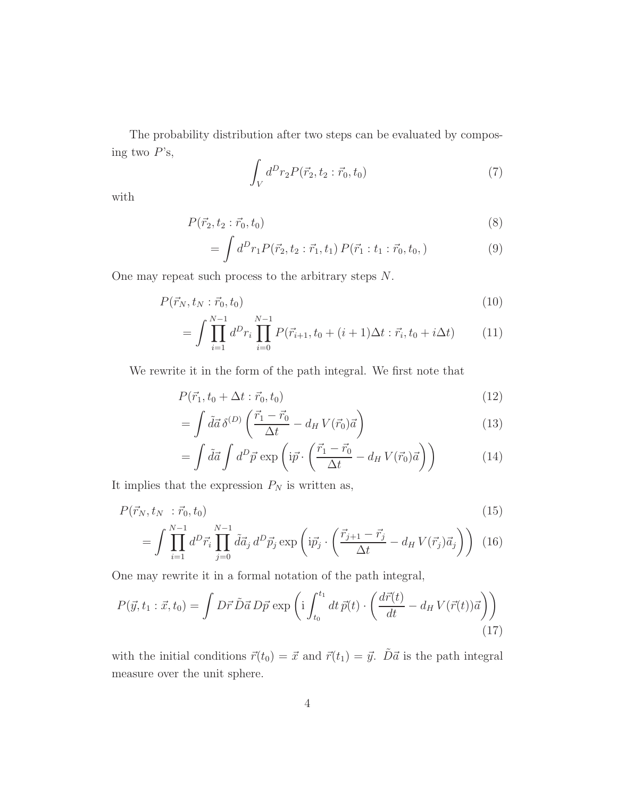The probability distribution after two steps can be evaluated by composing two  $P$ 's,

$$
\int_{V} d^{D}r_{2} P(\vec{r}_{2}, t_{2} : \vec{r}_{0}, t_{0})
$$
\n(7)

with

$$
P(\vec{r}_2, t_2 : \vec{r}_0, t_0) \tag{8}
$$

$$
= \int d^D r_1 P(\vec{r}_2, t_2 : \vec{r}_1, t_1) P(\vec{r}_1 : t_1 : \vec{r}_0, t_0, )
$$
\n(9)

One may repeat such process to the arbitrary steps N.

$$
P(\vec{r}_N, t_N : \vec{r}_0, t_0) \tag{10}
$$

$$
= \int \prod_{i=1}^{N-1} d^D r_i \prod_{i=0}^{N-1} P(\vec{r}_{i+1}, t_0 + (i+1)\Delta t : \vec{r}_i, t_0 + i\Delta t)
$$
 (11)

We rewrite it in the form of the path integral. We first note that

$$
P(\vec{r}_1, t_0 + \Delta t : \vec{r}_0, t_0) \tag{12}
$$

$$
= \int d\vec{a} \,\delta^{(D)} \left( \frac{\vec{r}_1 - \vec{r}_0}{\Delta t} - d_H V(\vec{r}_0) \vec{a} \right) \tag{13}
$$

<span id="page-4-0"></span>
$$
= \int d\vec{a} \int d^D \vec{p} \exp\left(i\vec{p} \cdot \left(\frac{\vec{r}_1 - \vec{r}_0}{\Delta t} - d_H V(\vec{r}_0)\vec{a}\right)\right) \tag{14}
$$

It implies that the expression  $P_N$  is written as,

$$
P(\vec{r}_N, t_N; \vec{r}_0, t_0) \tag{15}
$$

$$
= \int \prod_{i=1}^{N-1} d^D \vec{r}_i \prod_{j=0}^{N-1} \tilde{d} \vec{a}_j d^D \vec{p}_j \exp\left(i\vec{p}_j \cdot \left(\frac{\vec{r}_{j+1} - \vec{r}_j}{\Delta t} - d_H V(\vec{r}_j) \vec{a}_j\right)\right) (16)
$$

One may rewrite it in a formal notation of the path integral,

$$
P(\vec{y}, t_1 : \vec{x}, t_0) = \int D\vec{r} \,\tilde{D}\vec{a} \, D\vec{p} \, \exp\left(\mathrm{i} \int_{t_0}^{t_1} dt \, \vec{p}(t) \cdot \left(\frac{d\vec{r}(t)}{dt} - d_H V(\vec{r}(t))\vec{a}\right)\right) \tag{17}
$$

with the initial conditions  $\vec{r}(t_0) = \vec{x}$  and  $\vec{r}(t_1) = \vec{y}$ .  $\tilde{D}\vec{a}$  is the path integral measure over the unit sphere.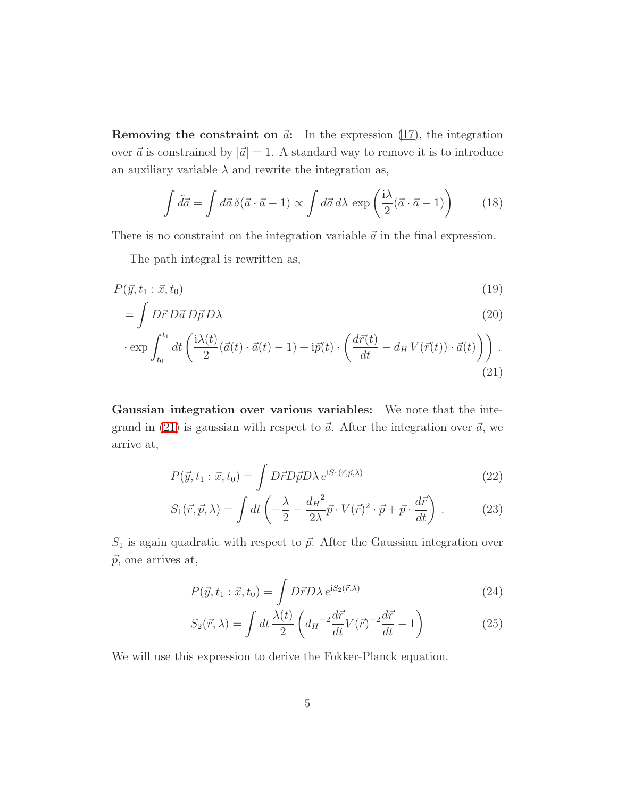**Removing the constraint on**  $\vec{a}$ **:** In the expression [\(17\)](#page-4-0), the integration over  $\vec{a}$  is constrained by  $|\vec{a}| = 1$ . A standard way to remove it is to introduce an auxiliary variable  $\lambda$  and rewrite the integration as,

$$
\int d\vec{a} = \int d\vec{a} \,\delta(\vec{a} \cdot \vec{a} - 1) \propto \int d\vec{a} \, d\lambda \, \exp\left(\frac{i\lambda}{2}(\vec{a} \cdot \vec{a} - 1)\right) \tag{18}
$$

There is no constraint on the integration variable  $\vec{a}$  in the final expression.

The path integral is rewritten as,

$$
P(\vec{y}, t_1 : \vec{x}, t_0) \tag{19}
$$

$$
= \int D\vec{r} \, D\vec{a} \, D\vec{p} \, D\lambda \tag{20}
$$

$$
\cdot \exp \int_{t_0}^{t_1} dt \left( \frac{i\lambda(t)}{2} (\vec{a}(t) \cdot \vec{a}(t) - 1) + i\vec{p}(t) \cdot \left( \frac{d\vec{r}(t)}{dt} - d_H V(\vec{r}(t)) \cdot \vec{a}(t) \right) \right).
$$
\n(21)

Gaussian integration over various variables: We note that the inte-grand in [\(21\)](#page-5-0) is gaussian with respect to  $\vec{a}$ . After the integration over  $\vec{a}$ , we arrive at,

<span id="page-5-0"></span>
$$
P(\vec{y}, t_1 : \vec{x}, t_0) = \int D\vec{r}D\vec{p}D\lambda \, e^{iS_1(\vec{r}, \vec{p}, \lambda)} \tag{22}
$$

$$
S_1(\vec{r}, \vec{p}, \lambda) = \int dt \left( -\frac{\lambda}{2} - \frac{d_H^2}{2\lambda} \vec{p} \cdot V(\vec{r})^2 \cdot \vec{p} + \vec{p} \cdot \frac{d\vec{r}}{dt} \right) . \tag{23}
$$

 $S_1$  is again quadratic with respect to  $\vec{p}$ . After the Gaussian integration over  $\vec{p}$ , one arrives at,

$$
P(\vec{y}, t_1 : \vec{x}, t_0) = \int D\vec{r}D\lambda \, e^{iS_2(\vec{r}, \lambda)} \tag{24}
$$

<span id="page-5-1"></span>
$$
S_2(\vec{r}, \lambda) = \int dt \frac{\lambda(t)}{2} \left( d_H^{-2} \frac{d\vec{r}}{dt} V(\vec{r})^{-2} \frac{d\vec{r}}{dt} - 1 \right)
$$
(25)

We will use this expression to derive the Fokker-Planck equation.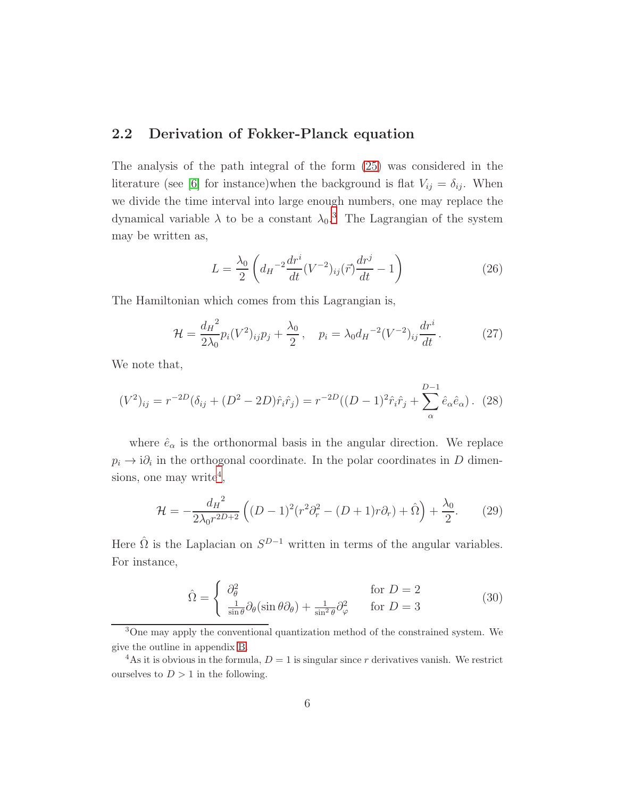### 2.2 Derivation of Fokker-Planck equation

The analysis of the path integral of the form [\(25\)](#page-5-1) was considered in the literature (see [\[6\]](#page-35-6) for instance)when the background is flat  $V_{ij} = \delta_{ij}$ . When we divide the time interval into large enough numbers, one may replace the dynamical variable  $\lambda$  to be a constant  $\lambda_0$ .<sup>[3](#page-6-0)</sup> The Lagrangian of the system may be written as,

$$
L = \frac{\lambda_0}{2} \left( d_H^{-2} \frac{dr^i}{dt} (V^{-2})_{ij} (\vec{r}) \frac{dr^j}{dt} - 1 \right)
$$
 (26)

The Hamiltonian which comes from this Lagrangian is,

$$
\mathcal{H} = \frac{d_H^2}{2\lambda_0} p_i (V^2)_{ij} p_j + \frac{\lambda_0}{2}, \quad p_i = \lambda_0 d_H^{-2} (V^{-2})_{ij} \frac{dr^i}{dt}.
$$
 (27)

We note that,

$$
(V^2)_{ij} = r^{-2D}(\delta_{ij} + (D^2 - 2D)\hat{r}_i\hat{r}_j) = r^{-2D}((D-1)^2\hat{r}_i\hat{r}_j + \sum_{\alpha}^{D-1} \hat{e}_{\alpha}\hat{e}_{\alpha}).
$$
 (28)

where  $\hat{e}_{\alpha}$  is the orthonormal basis in the angular direction. We replace  $p_i \to i\partial_i$  in the orthogonal coordinate. In the polar coordinates in D dimen-sions, one may write<sup>[4](#page-6-1)</sup>,

$$
\mathcal{H} = -\frac{d_H^2}{2\lambda_0 r^{2D+2}} \left( (D-1)^2 (r^2 \partial_r^2 - (D+1)r\partial_r) + \hat{\Omega} \right) + \frac{\lambda_0}{2}.
$$
 (29)

Here  $\hat{\Omega}$  is the Laplacian on  $S^{D-1}$  written in terms of the angular variables. For instance,

$$
\hat{\Omega} = \begin{cases}\n\frac{\partial_{\theta}^{2}}{\sin \theta} & \text{for } D = 2 \\
\frac{1}{\sin \theta} \partial_{\theta} (\sin \theta \partial_{\theta}) + \frac{1}{\sin^{2} \theta} \partial_{\varphi}^{2} & \text{for } D = 3\n\end{cases}
$$
\n(30)

<span id="page-6-0"></span><sup>3</sup>One may apply the conventional quantization method of the constrained system. We give the outline in appendix [B.](#page-25-0)

<span id="page-6-1"></span><sup>&</sup>lt;sup>4</sup>As it is obvious in the formula,  $D = 1$  is singular since r derivatives vanish. We restrict ourselves to  $D > 1$  in the following.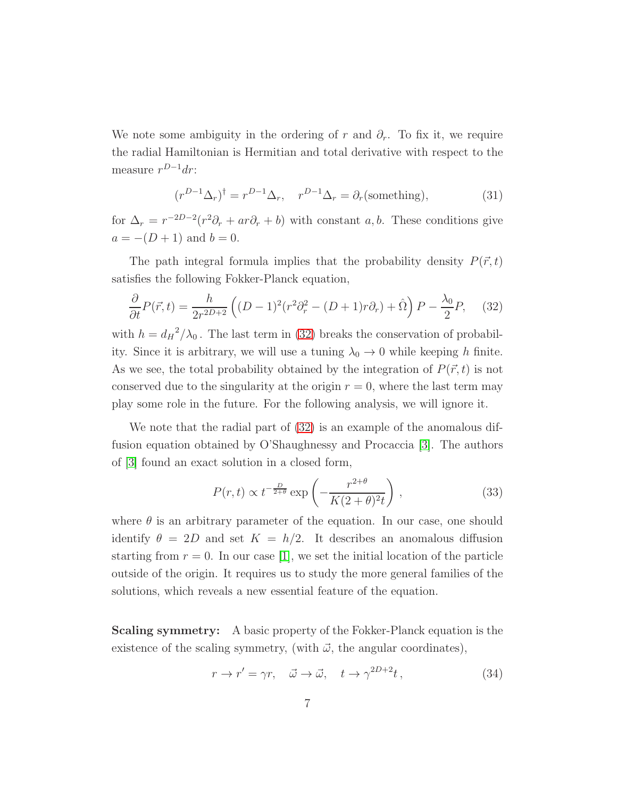We note some ambiguity in the ordering of r and  $\partial_r$ . To fix it, we require the radial Hamiltonian is Hermitian and total derivative with respect to the measure  $r^{D-1}dr$ :

<span id="page-7-0"></span>
$$
(r^{D-1}\Delta_r)^\dagger = r^{D-1}\Delta_r, \quad r^{D-1}\Delta_r = \partial_r(\text{something}), \tag{31}
$$

for  $\Delta_r = r^{-2D-2}(r^2\partial_r + ar\partial_r + b)$  with constant a, b. These conditions give  $a = -(D + 1)$  and  $b = 0$ .

The path integral formula implies that the probability density  $P(\vec{r}, t)$ satisfies the following Fokker-Planck equation,

$$
\frac{\partial}{\partial t}P(\vec{r},t) = \frac{h}{2r^{2D+2}}\left((D-1)^2(r^2\partial_r^2 - (D+1)r\partial_r) + \hat{\Omega}\right)P - \frac{\lambda_0}{2}P,\tag{32}
$$

with  $h = d_H^2/\lambda_0$ . The last term in [\(32\)](#page-7-0) breaks the conservation of probability. Since it is arbitrary, we will use a tuning  $\lambda_0 \rightarrow 0$  while keeping h finite. As we see, the total probability obtained by the integration of  $P(\vec{r}, t)$  is not conserved due to the singularity at the origin  $r = 0$ , where the last term may play some role in the future. For the following analysis, we will ignore it.

We note that the radial part of  $(32)$  is an example of the anomalous diffusion equation obtained by O'Shaughnessy and Procaccia [\[3\]](#page-35-1). The authors of [\[3\]](#page-35-1) found an exact solution in a closed form,

<span id="page-7-1"></span>
$$
P(r,t) \propto t^{-\frac{D}{2+\theta}} \exp\left(-\frac{r^{2+\theta}}{K(2+\theta)^{2}t}\right),
$$
\n(33)

where  $\theta$  is an arbitrary parameter of the equation. In our case, one should identify  $\theta = 2D$  and set  $K = h/2$ . It describes an anomalous diffusion starting from  $r = 0$ . In our case [\[1\]](#page-34-0), we set the initial location of the particle outside of the origin. It requires us to study the more general families of the solutions, which reveals a new essential feature of the equation.

**Scaling symmetry:** A basic property of the Fokker-Planck equation is the existence of the scaling symmetry, (with  $\vec{\omega}$ , the angular coordinates),

$$
r \to r' = \gamma r, \quad \vec{\omega} \to \vec{\omega}, \quad t \to \gamma^{2D+2} t,
$$
\n(34)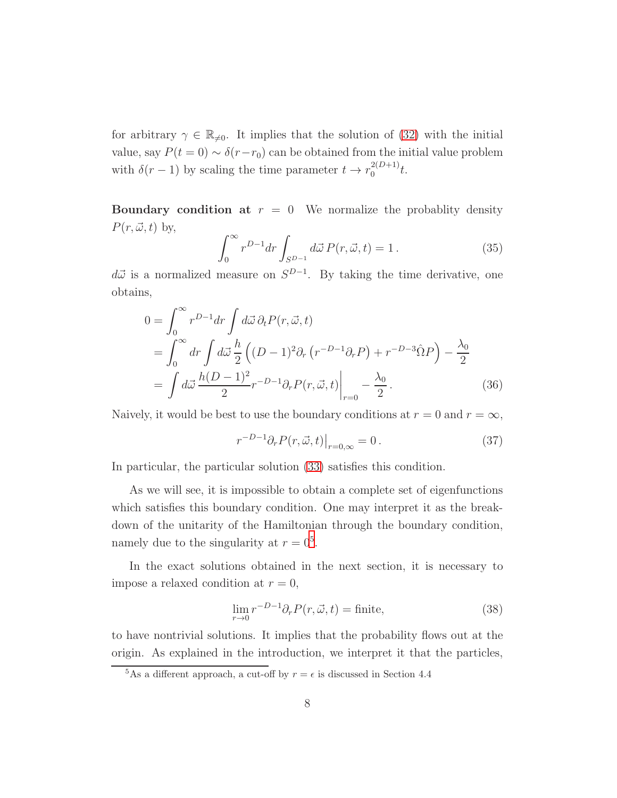for arbitrary  $\gamma \in \mathbb{R}_{\neq 0}$ . It implies that the solution of [\(32\)](#page-7-0) with the initial value, say  $P(t = 0) \sim \delta(r - r_0)$  can be obtained from the initial value problem with  $\delta(r-1)$  by scaling the time parameter  $t \to r_0^{2(D+1)}$  $_{0}^{2(D+1)}t.$ 

**Boundary condition at**  $r = 0$  We normalize the probablity density  $P(r, \vec{\omega}, t)$  by,

$$
\int_0^\infty r^{D-1} dr \int_{S^{D-1}} d\vec{\omega} P(r, \vec{\omega}, t) = 1.
$$
 (35)

 $d\vec{\omega}$  is a normalized measure on  $S^{D-1}$ . By taking the time derivative, one obtains,

$$
0 = \int_0^\infty r^{D-1} dr \int d\vec{\omega} \, \partial_t P(r, \vec{\omega}, t)
$$
  
= 
$$
\int_0^\infty dr \int d\vec{\omega} \, \frac{h}{2} \left( (D-1)^2 \partial_r (r^{-D-1} \partial_r P) + r^{-D-3} \hat{\Omega} P \right) - \frac{\lambda_0}{2}
$$
  
= 
$$
\int d\vec{\omega} \, \frac{h(D-1)^2}{2} r^{-D-1} \partial_r P(r, \vec{\omega}, t) \Big|_{r=0} - \frac{\lambda_0}{2}.
$$
 (36)

Naively, it would be best to use the boundary conditions at  $r = 0$  and  $r = \infty$ ,

<span id="page-8-3"></span><span id="page-8-1"></span>
$$
r^{-D-1}\partial_r P(r,\vec{\omega},t)|_{r=0,\infty} = 0.
$$
\n(37)

In particular, the particular solution [\(33\)](#page-7-1) satisfies this condition.

As we will see, it is impossible to obtain a complete set of eigenfunctions which satisfies this boundary condition. One may interpret it as the breakdown of the unitarity of the Hamiltonian through the boundary condition, namely due to the singularity at  $r = 0<sup>5</sup>$  $r = 0<sup>5</sup>$  $r = 0<sup>5</sup>$ .

In the exact solutions obtained in the next section, it is necessary to impose a relaxed condition at  $r = 0$ ,

<span id="page-8-2"></span>
$$
\lim_{r \to 0} r^{-D-1} \partial_r P(r, \vec{\omega}, t) = \text{finite},\tag{38}
$$

to have nontrivial solutions. It implies that the probability flows out at the origin. As explained in the introduction, we interpret it that the particles,

<span id="page-8-0"></span><sup>&</sup>lt;sup>5</sup>As a different approach, a cut-off by  $r = \epsilon$  is discussed in Section 4.4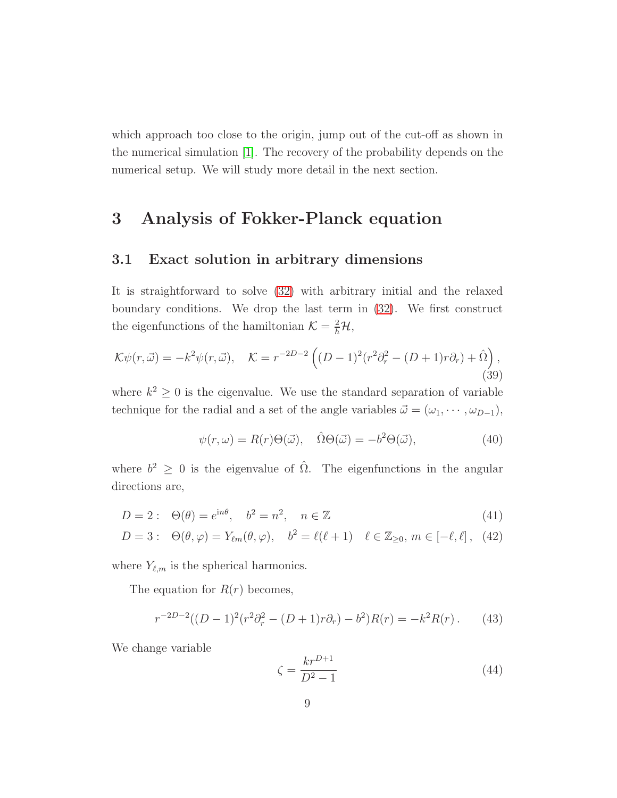which approach too close to the origin, jump out of the cut-off as shown in the numerical simulation [\[1\]](#page-34-0). The recovery of the probability depends on the numerical setup. We will study more detail in the next section.

### <span id="page-9-1"></span>3 Analysis of Fokker-Planck equation

#### 3.1 Exact solution in arbitrary dimensions

It is straightforward to solve [\(32\)](#page-7-0) with arbitrary initial and the relaxed boundary conditions. We drop the last term in [\(32\)](#page-7-0). We first construct the eigenfunctions of the hamiltonian  $\mathcal{K} = \frac{2}{h}\mathcal{H}$ ,

$$
\mathcal{K}\psi(r,\vec{\omega}) = -k^2\psi(r,\vec{\omega}), \quad \mathcal{K} = r^{-2D-2}\left((D-1)^2(r^2\partial_r^2 - (D+1)r\partial_r) + \hat{\Omega}\right),\tag{39}
$$

where  $k^2 \geq 0$  is the eigenvalue. We use the standard separation of variable technique for the radial and a set of the angle variables  $\vec{\omega} = (\omega_1, \dots, \omega_{D-1}),$ 

$$
\psi(r,\omega) = R(r)\Theta(\vec{\omega}), \quad \hat{\Omega}\Theta(\vec{\omega}) = -b^2\Theta(\vec{\omega}), \tag{40}
$$

where  $b^2 \geq 0$  is the eigenvalue of  $\hat{\Omega}$ . The eigenfunctions in the angular directions are,

$$
D = 2: \quad \Theta(\theta) = e^{\mathrm{i}n\theta}, \quad b^2 = n^2, \quad n \in \mathbb{Z}
$$
\n
$$
(41)
$$

$$
D = 3: \quad \Theta(\theta, \varphi) = Y_{\ell m}(\theta, \varphi), \quad b^2 = \ell(\ell + 1) \quad \ell \in \mathbb{Z}_{\geq 0}, \, m \in [-\ell, \ell], \tag{42}
$$

where  $Y_{\ell,m}$  is the spherical harmonics.

The equation for  $R(r)$  becomes,

<span id="page-9-0"></span>
$$
r^{-2D-2}((D-1)^2(r^2\partial_r^2 - (D+1)r\partial_r) - b^2)R(r) = -k^2R(r).
$$
 (43)

We change variable

$$
\zeta = \frac{kr^{D+1}}{D^2 - 1} \tag{44}
$$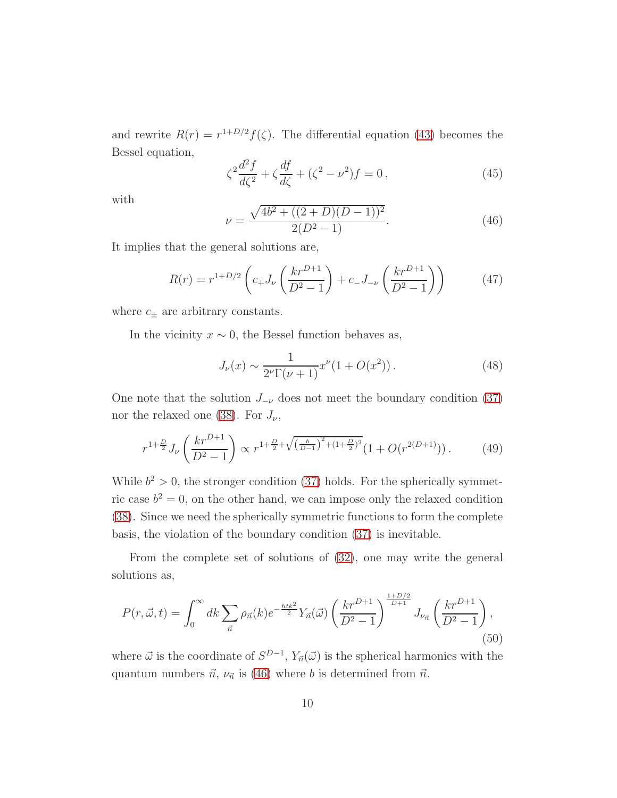and rewrite  $R(r) = r^{1+D/2} f(\zeta)$ . The differential equation [\(43\)](#page-9-0) becomes the Bessel equation,

$$
\zeta^2 \frac{d^2 f}{d\zeta^2} + \zeta \frac{df}{d\zeta} + (\zeta^2 - \nu^2)f = 0,
$$
\n(45)

with

<span id="page-10-0"></span>
$$
\nu = \frac{\sqrt{4b^2 + ((2+D)(D-1))^2}}{2(D^2-1)}.\tag{46}
$$

It implies that the general solutions are,

<span id="page-10-1"></span>
$$
R(r) = r^{1+D/2} \left( c_+ J_\nu \left( \frac{kr^{D+1}}{D^2 - 1} \right) + c_- J_{-\nu} \left( \frac{kr^{D+1}}{D^2 - 1} \right) \right) \tag{47}
$$

where  $c_{\pm}$  are arbitrary constants.

In the vicinity  $x \sim 0$ , the Bessel function behaves as,

$$
J_{\nu}(x) \sim \frac{1}{2^{\nu} \Gamma(\nu + 1)} x^{\nu} (1 + O(x^2)). \tag{48}
$$

One note that the solution  $J_{-\nu}$  does not meet the boundary condition [\(37\)](#page-8-1) nor the relaxed one [\(38\)](#page-8-2). For  $J_{\nu}$ ,

$$
r^{1+\frac{D}{2}}J_{\nu}\left(\frac{kr^{D+1}}{D^2-1}\right) \propto r^{1+\frac{D}{2}+\sqrt{\left(\frac{b}{D-1}\right)^2+(1+\frac{D}{2})^2}}(1+O(r^{2(D+1)})).\tag{49}
$$

While  $b^2 > 0$ , the stronger condition [\(37\)](#page-8-1) holds. For the spherically symmetric case  $b^2 = 0$ , on the other hand, we can impose only the relaxed condition [\(38\)](#page-8-2). Since we need the spherically symmetric functions to form the complete basis, the violation of the boundary condition [\(37\)](#page-8-1) is inevitable.

From the complete set of solutions of [\(32\)](#page-7-0), one may write the general solutions as,

$$
P(r, \vec{\omega}, t) = \int_0^\infty dk \sum_{\vec{n}} \rho_{\vec{n}}(k) e^{-\frac{h t k^2}{2}} Y_{\vec{n}}(\vec{\omega}) \left(\frac{kr^{D+1}}{D^2 - 1}\right)^{\frac{1 + D/2}{D+1}} J_{\nu_{\vec{n}}} \left(\frac{kr^{D+1}}{D^2 - 1}\right),\tag{50}
$$

where  $\vec{\omega}$  is the coordinate of  $S^{D-1}$ ,  $Y_{\vec{n}}(\vec{\omega})$  is the spherical harmonics with the quantum numbers  $\vec{n}$ ,  $\nu_{\vec{n}}$  is [\(46\)](#page-10-0) where b is determined from  $\vec{n}$ .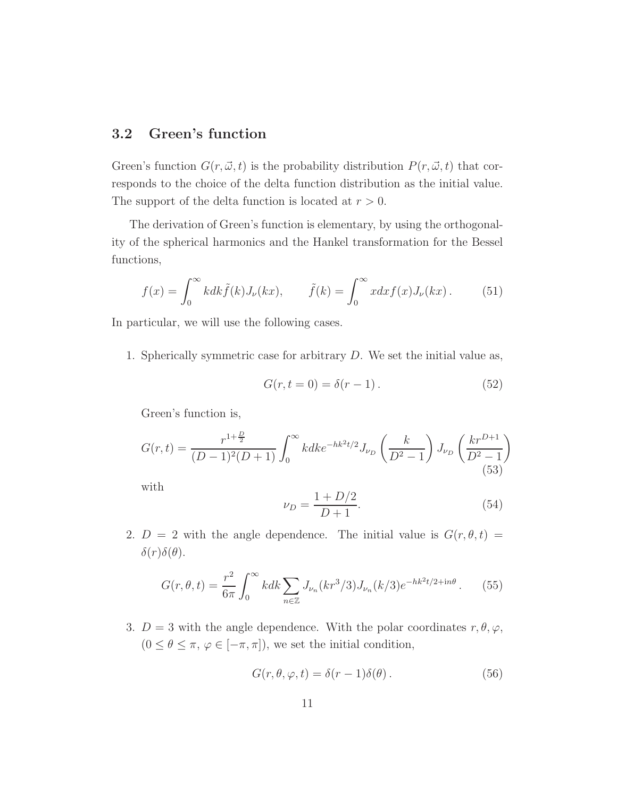#### 3.2 Green's function

Green's function  $G(r, \vec{\omega}, t)$  is the probability distribution  $P(r, \vec{\omega}, t)$  that corresponds to the choice of the delta function distribution as the initial value. The support of the delta function is located at  $r > 0$ .

The derivation of Green's function is elementary, by using the orthogonality of the spherical harmonics and the Hankel transformation for the Bessel functions,

<span id="page-11-3"></span>
$$
f(x) = \int_0^\infty k dk \tilde{f}(k) J_\nu(kx), \qquad \tilde{f}(k) = \int_0^\infty x dx f(x) J_\nu(kx). \tag{51}
$$

In particular, we will use the following cases.

1. Spherically symmetric case for arbitrary D. We set the initial value as,

$$
G(r, t = 0) = \delta(r - 1). \tag{52}
$$

Green's function is,

<span id="page-11-0"></span>
$$
G(r,t) = \frac{r^{1+\frac{D}{2}}}{(D-1)^2(D+1)} \int_0^\infty k dk e^{-hk^2t/2} J_{\nu_D} \left(\frac{k}{D^2-1}\right) J_{\nu_D} \left(\frac{kr^{D+1}}{D^2-1}\right)
$$
\n(53)

with

<span id="page-11-2"></span>
$$
\nu_D = \frac{1 + D/2}{D + 1}.\tag{54}
$$

2.  $D = 2$  with the angle dependence. The initial value is  $G(r, \theta, t) =$  $\delta(r)\delta(\theta)$ .

<span id="page-11-1"></span>
$$
G(r,\theta,t) = \frac{r^2}{6\pi} \int_0^\infty k dk \sum_{n \in \mathbb{Z}} J_{\nu_n}(kr^3/3) J_{\nu_n}(k/3) e^{-hk^2t/2 + in\theta} \,. \tag{55}
$$

3.  $D = 3$  with the angle dependence. With the polar coordinates  $r, \theta, \varphi$ ,  $(0 \leq \theta \leq \pi, \, \varphi \in [-\pi, \pi]),$  we set the initial condition,

$$
G(r, \theta, \varphi, t) = \delta(r - 1)\delta(\theta).
$$
 (56)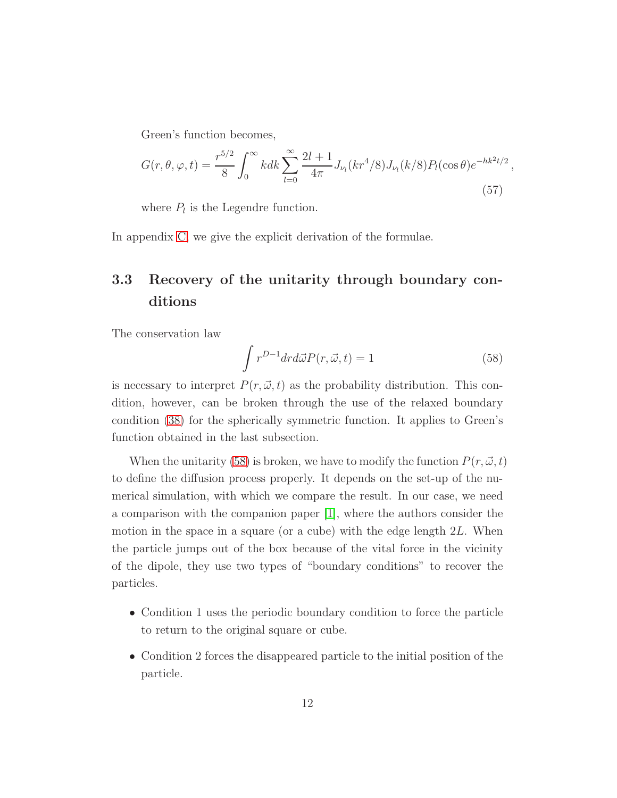Green's function becomes,

<span id="page-12-1"></span>
$$
G(r, \theta, \varphi, t) = \frac{r^{5/2}}{8} \int_0^\infty k dk \sum_{l=0}^\infty \frac{2l+1}{4\pi} J_{\nu_l}(kr^4/8) J_{\nu_l}(k/8) P_l(\cos\theta) e^{-hk^2t/2}
$$
\n(57)

where  $P_l$  is the Legendre function.

In appendix [C,](#page-27-0) we give the explicit derivation of the formulae.

### 3.3 Recovery of the unitarity through boundary conditions

The conservation law

<span id="page-12-0"></span>
$$
\int r^{D-1} dr d\vec{\omega} P(r, \vec{\omega}, t) = 1
$$
\n(58)

,

is necessary to interpret  $P(r, \vec{\omega}, t)$  as the probability distribution. This condition, however, can be broken through the use of the relaxed boundary condition [\(38\)](#page-8-2) for the spherically symmetric function. It applies to Green's function obtained in the last subsection.

When the unitarity [\(58\)](#page-12-0) is broken, we have to modify the function  $P(r, \vec{\omega}, t)$ to define the diffusion process properly. It depends on the set-up of the numerical simulation, with which we compare the result. In our case, we need a comparison with the companion paper [\[1\]](#page-34-0), where the authors consider the motion in the space in a square (or a cube) with the edge length 2L. When the particle jumps out of the box because of the vital force in the vicinity of the dipole, they use two types of "boundary conditions" to recover the particles.

- Condition 1 uses the periodic boundary condition to force the particle to return to the original square or cube.
- Condition 2 forces the disappeared particle to the initial position of the particle.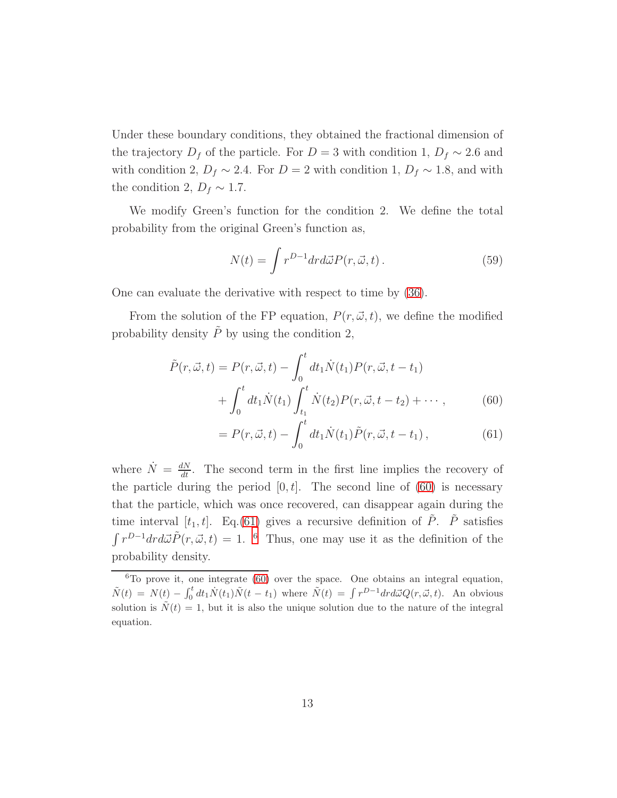Under these boundary conditions, they obtained the fractional dimension of the trajectory  $D_f$  of the particle. For  $D = 3$  with condition 1,  $D_f \sim 2.6$  and with condition 2,  $D_f \sim 2.4$ . For  $D = 2$  with condition 1,  $D_f \sim 1.8$ , and with the condition 2,  $D_f \sim 1.7$ .

We modify Green's function for the condition 2. We define the total probability from the original Green's function as,

$$
N(t) = \int r^{D-1} dr d\vec{\omega} P(r, \vec{\omega}, t).
$$
 (59)

One can evaluate the derivative with respect to time by [\(36\)](#page-8-3).

From the solution of the FP equation,  $P(r, \vec{\omega}, t)$ , we define the modified probability density  $\tilde{P}$  by using the condition 2,

$$
\tilde{P}(r, \vec{\omega}, t) = P(r, \vec{\omega}, t) - \int_0^t dt_1 \dot{N}(t_1) P(r, \vec{\omega}, t - t_1) \n+ \int_0^t dt_1 \dot{N}(t_1) \int_{t_1}^t \dot{N}(t_2) P(r, \vec{\omega}, t - t_2) + \cdots,
$$
\n(60)

<span id="page-13-1"></span><span id="page-13-0"></span>
$$
= P(r, \vec{\omega}, t) - \int_0^t dt_1 \dot{N}(t_1) \tilde{P}(r, \vec{\omega}, t - t_1), \qquad (61)
$$

where  $\dot{N} = \frac{dN}{dt}$ . The second term in the first line implies the recovery of the particle during the period  $[0, t]$ . The second line of  $(60)$  is necessary that the particle, which was once recovered, can disappear again during the time interval  $[t_1, t]$ . Eq.[\(61\)](#page-13-1) gives a recursive definition of  $\tilde{P}$ .  $\tilde{P}$  satisfies  $\int r^{D-1} dr d\vec{\omega} \tilde{P}(r, \vec{\omega}, t) = 1$ . <sup>[6](#page-13-2)</sup> Thus, one may use it as the definition of the probability density.

<span id="page-13-2"></span> ${}^{6}$ To prove it, one integrate [\(60\)](#page-13-0) over the space. One obtains an integral equation,  $\tilde{N}(t) = N(t) - \int_0^t dt_1 \dot{N}(t_1) \tilde{N}(t-t_1)$  where  $\tilde{N}(t) = \int r^{D-1} dr d\vec{\omega} Q(r, \vec{\omega}, t)$ . An obvious solution is  $\tilde{N}(t) = 1$ , but it is also the unique solution due to the nature of the integral equation.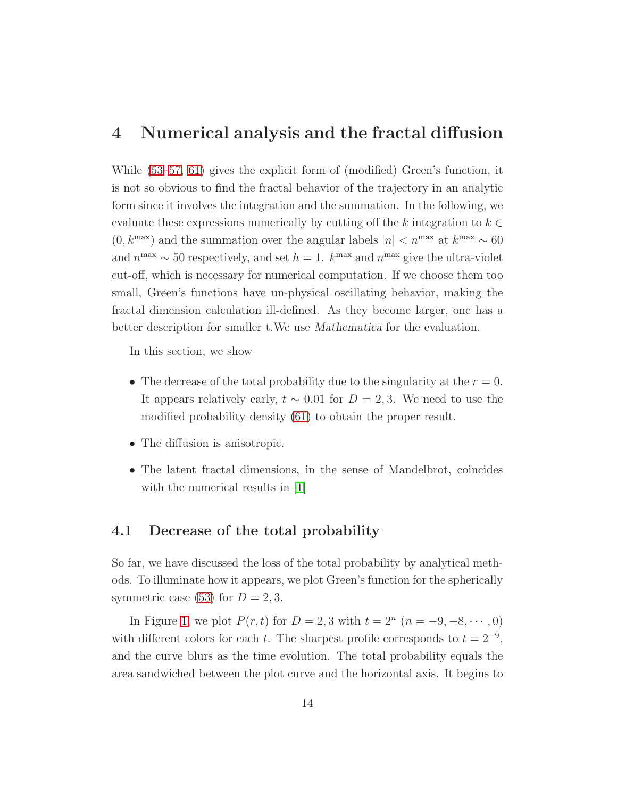### 4 Numerical analysis and the fractal diffusion

While [\(53–](#page-11-0)[57,](#page-12-1) [61\)](#page-13-1) gives the explicit form of (modified) Green's function, it is not so obvious to find the fractal behavior of the trajectory in an analytic form since it involves the integration and the summation. In the following, we evaluate these expressions numerically by cutting off the k integration to  $k \in \mathbb{R}$  $(0, k^{\text{max}})$  and the summation over the angular labels  $|n| < n^{\text{max}}$  at  $k^{\text{max}} \sim 60$ and  $n^{\max} \sim 50$  respectively, and set  $h = 1$ .  $k^{\max}$  and  $n^{\max}$  give the ultra-violet cut-off, which is necessary for numerical computation. If we choose them too small, Green's functions have un-physical oscillating behavior, making the fractal dimension calculation ill-defined. As they become larger, one has a better description for smaller t.We use Mathematica for the evaluation.

In this section, we show

- The decrease of the total probability due to the singularity at the  $r = 0$ . It appears relatively early,  $t \sim 0.01$  for  $D = 2, 3$ . We need to use the modified probability density [\(61\)](#page-13-1) to obtain the proper result.
- The diffusion is anisotropic.
- The latent fractal dimensions, in the sense of Mandelbrot, coincides with the numerical results in [\[1\]](#page-34-0)

#### 4.1 Decrease of the total probability

So far, we have discussed the loss of the total probability by analytical methods. To illuminate how it appears, we plot Green's function for the spherically symmetric case [\(53\)](#page-11-0) for  $D = 2, 3$ .

In Figure [1,](#page-15-0) we plot  $P(r, t)$  for  $D = 2, 3$  with  $t = 2^n$   $(n = -9, -8, \dots, 0)$ with different colors for each t. The sharpest profile corresponds to  $t = 2^{-9}$ , and the curve blurs as the time evolution. The total probability equals the area sandwiched between the plot curve and the horizontal axis. It begins to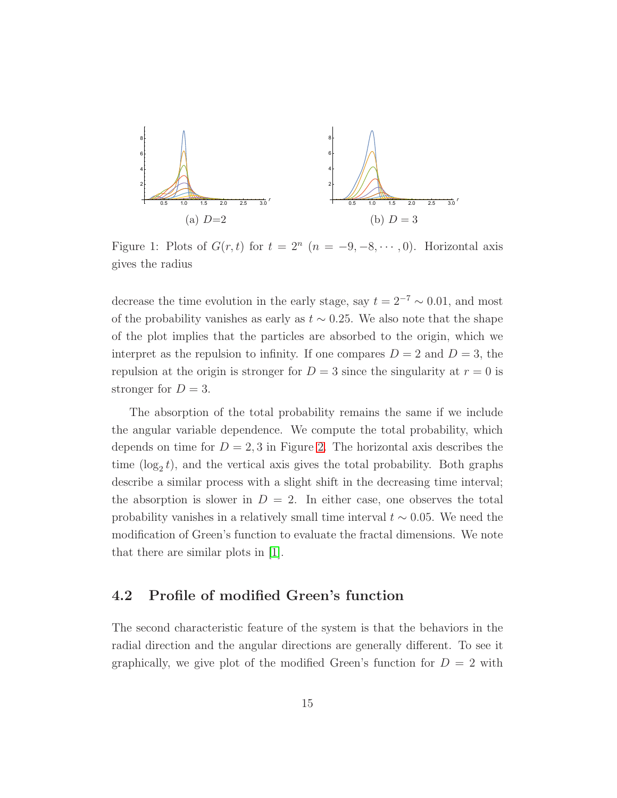<span id="page-15-0"></span>

Figure 1: Plots of  $G(r, t)$  for  $t = 2^n$   $(n = -9, -8, \dots, 0)$ . Horizontal axis gives the radius

decrease the time evolution in the early stage, say  $t = 2^{-7} \sim 0.01$ , and most of the probability vanishes as early as  $t \sim 0.25$ . We also note that the shape of the plot implies that the particles are absorbed to the origin, which we interpret as the repulsion to infinity. If one compares  $D = 2$  and  $D = 3$ , the repulsion at the origin is stronger for  $D = 3$  since the singularity at  $r = 0$  is stronger for  $D = 3$ .

The absorption of the total probability remains the same if we include the angular variable dependence. We compute the total probability, which depends on time for  $D = 2, 3$  in Figure [2.](#page-16-0) The horizontal axis describes the time  $(\log_2 t)$ , and the vertical axis gives the total probability. Both graphs describe a similar process with a slight shift in the decreasing time interval; the absorption is slower in  $D = 2$ . In either case, one observes the total probability vanishes in a relatively small time interval  $t \sim 0.05$ . We need the modification of Green's function to evaluate the fractal dimensions. We note that there are similar plots in [\[1\]](#page-34-0).

#### 4.2 Profile of modified Green's function

The second characteristic feature of the system is that the behaviors in the radial direction and the angular directions are generally different. To see it graphically, we give plot of the modified Green's function for  $D = 2$  with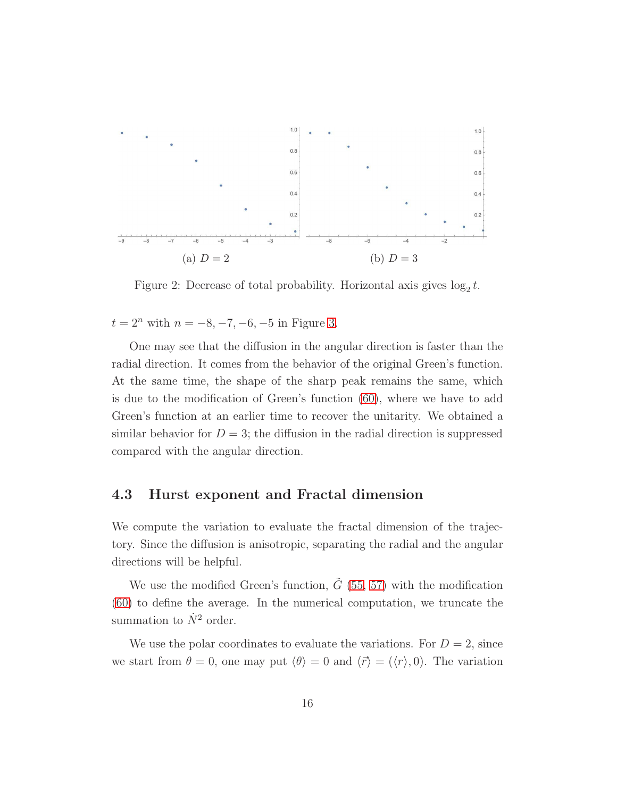<span id="page-16-0"></span>

Figure 2: Decrease of total probability. Horizontal axis gives  $\log_2 t$ .

 $t = 2^n$  with  $n = -8, -7, -6, -5$  in Figure [3.](#page-17-0)

One may see that the diffusion in the angular direction is faster than the radial direction. It comes from the behavior of the original Green's function. At the same time, the shape of the sharp peak remains the same, which is due to the modification of Green's function [\(60\)](#page-13-0), where we have to add Green's function at an earlier time to recover the unitarity. We obtained a similar behavior for  $D = 3$ ; the diffusion in the radial direction is suppressed compared with the angular direction.

#### 4.3 Hurst exponent and Fractal dimension

We compute the variation to evaluate the fractal dimension of the trajectory. Since the diffusion is anisotropic, separating the radial and the angular directions will be helpful.

We use the modified Green's function,  $\tilde{G}$  [\(55,](#page-11-1) [57\)](#page-12-1) with the modification [\(60\)](#page-13-0) to define the average. In the numerical computation, we truncate the summation to  $\dot{N}^2$  order.

We use the polar coordinates to evaluate the variations. For  $D = 2$ , since we start from  $\theta = 0$ , one may put  $\langle \theta \rangle = 0$  and  $\langle \vec{r} \rangle = (\langle r \rangle, 0)$ . The variation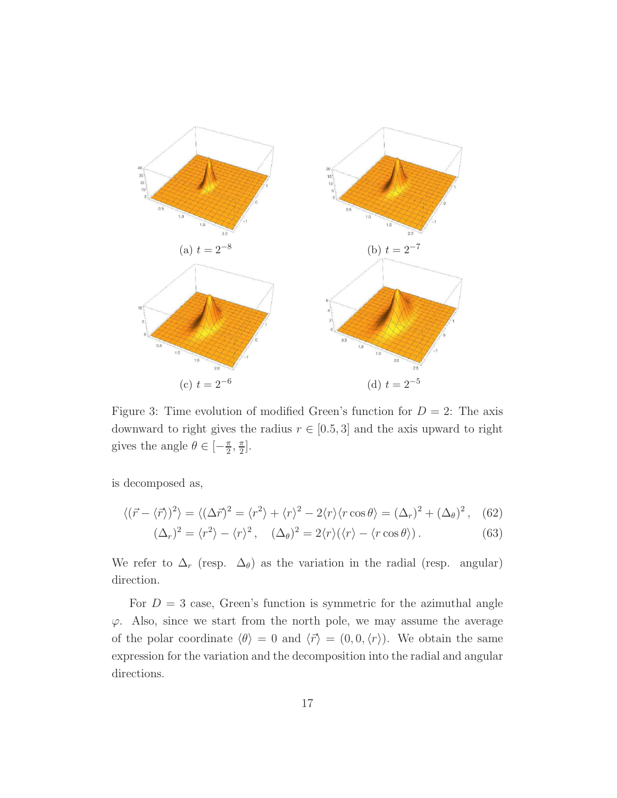<span id="page-17-0"></span>

Figure 3: Time evolution of modified Green's function for  $D = 2$ : The axis downward to right gives the radius  $r \in [0.5, 3]$  and the axis upward to right gives the angle  $\theta \in [-\frac{\pi}{2}$  $\frac{\pi}{2}, \frac{\pi}{2}$  $\frac{\pi}{2}$ .

is decomposed as,

$$
\langle (\vec{r} - \langle \vec{r} \rangle)^2 \rangle = \langle (\Delta \vec{r})^2 = \langle r^2 \rangle + \langle r \rangle^2 - 2 \langle r \rangle \langle r \cos \theta \rangle = (\Delta_r)^2 + (\Delta_\theta)^2, \quad (62)
$$
  

$$
(\Delta_r)^2 = \langle r^2 \rangle - \langle r \rangle^2, \quad (\Delta_\theta)^2 = 2 \langle r \rangle (\langle r \rangle - \langle r \cos \theta \rangle). \quad (63)
$$

We refer to 
$$
\Delta_r
$$
 (resp.  $\Delta_\theta$ ) as the variation in the radial (resp. angular) direction.

For  $D = 3$  case, Green's function is symmetric for the azimuthal angle  $\varphi$ . Also, since we start from the north pole, we may assume the average of the polar coordinate  $\langle \theta \rangle = 0$  and  $\langle \vec{r} \rangle = (0, 0, \langle r \rangle)$ . We obtain the same expression for the variation and the decomposition into the radial and angular directions.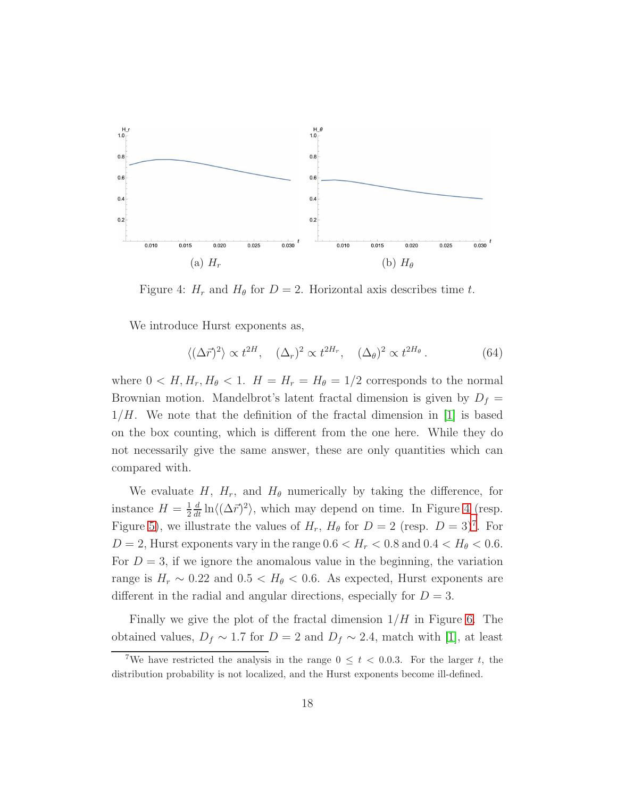<span id="page-18-0"></span>

Figure 4:  $H_r$  and  $H_\theta$  for  $D = 2$ . Horizontal axis describes time t.

We introduce Hurst exponents as,

$$
\langle (\Delta \vec{r})^2 \rangle \propto t^{2H}, \quad (\Delta_r)^2 \propto t^{2H_r}, \quad (\Delta_\theta)^2 \propto t^{2H_\theta}.
$$
 (64)

where  $0 < H, H_r, H_\theta < 1$ .  $H = H_r = H_\theta = 1/2$  corresponds to the normal Brownian motion. Mandelbrot's latent fractal dimension is given by  $D_f =$  $1/H$ . We note that the definition of the fractal dimension in [\[1\]](#page-34-0) is based on the box counting, which is different from the one here. While they do not necessarily give the same answer, these are only quantities which can compared with.

We evaluate H,  $H_r$ , and  $H_\theta$  numerically by taking the difference, for instance  $H=\frac{1}{2}$ 2  $\frac{d}{dt} \ln \langle (\Delta \vec{r})^2 \rangle$ , which may depend on time. In Figure [4](#page-18-0) (resp. Figure [5\)](#page-19-0), we illustrate the values of  $H_r$ ,  $H_\theta$  for  $D = 2$  (resp.  $D = 3)^7$  $D = 3)^7$ . For  $D = 2$ , Hurst exponents vary in the range  $0.6 < H_r < 0.8$  and  $0.4 < H_{\theta} < 0.6$ . For  $D = 3$ , if we ignore the anomalous value in the beginning, the variation range is  $H_r \sim 0.22$  and  $0.5 < H_\theta < 0.6$ . As expected, Hurst exponents are different in the radial and angular directions, especially for  $D = 3$ .

Finally we give the plot of the fractal dimension  $1/H$  in Figure [6.](#page-19-1) The obtained values,  $D_f \sim 1.7$  for  $D = 2$  and  $D_f \sim 2.4$ , match with [\[1\]](#page-34-0), at least

<span id="page-18-1"></span><sup>&</sup>lt;sup>7</sup>We have restricted the analysis in the range  $0 \leq t < 0.0.3$ . For the larger t, the distribution probability is not localized, and the Hurst exponents become ill-defined.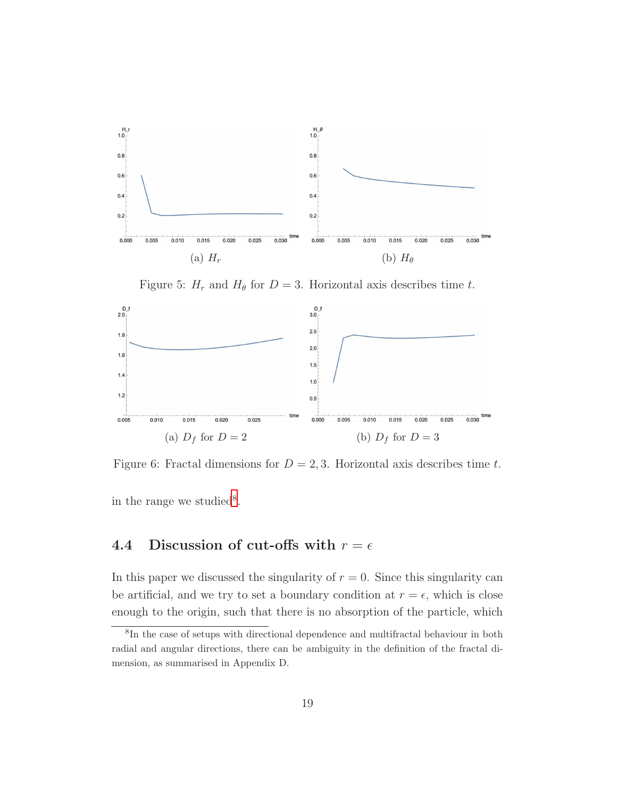<span id="page-19-0"></span>

Figure 5:  $H_r$  and  $H_\theta$  for  $D = 3$ . Horizontal axis describes time t.

<span id="page-19-1"></span>

Figure 6: Fractal dimensions for  $D = 2, 3$ . Horizontal axis describes time t.

in the range we studied<sup>[8](#page-19-2)</sup>.

### 4.4 Discussion of cut-offs with  $r = \epsilon$

In this paper we discussed the singularity of  $r = 0$ . Since this singularity can be artificial, and we try to set a boundary condition at  $r = \epsilon$ , which is close enough to the origin, such that there is no absorption of the particle, which

<span id="page-19-2"></span><sup>8</sup> In the case of setups with directional dependence and multifractal behaviour in both radial and angular directions, there can be ambiguity in the definition of the fractal dimension, as summarised in Appendix D.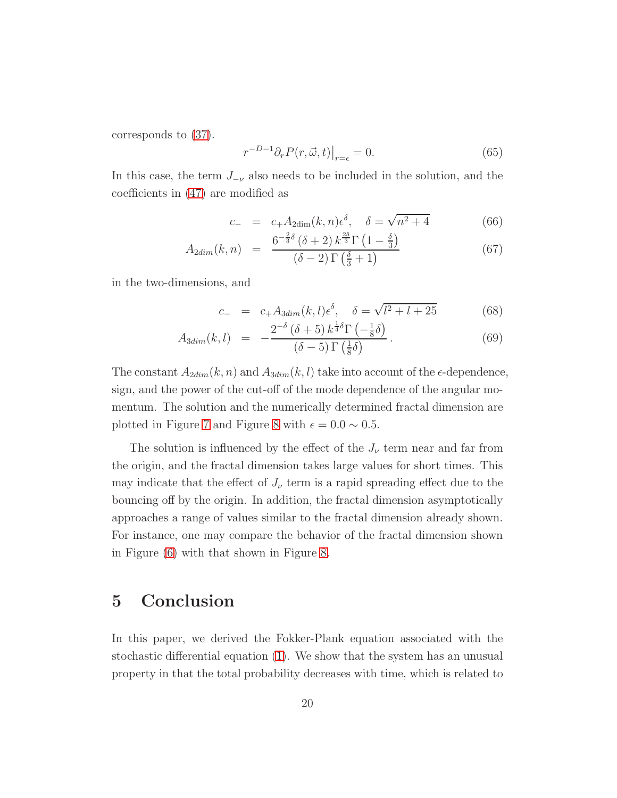corresponds to [\(37\)](#page-8-1).

$$
r^{-D-1}\partial_r P(r,\vec{\omega},t)|_{r=\epsilon} = 0.
$$
\n(65)

In this case, the term  $J_{-\nu}$  also needs to be included in the solution, and the coefficients in [\(47\)](#page-10-1) are modified as

$$
c_{-} = c_{+}A_{2\dim}(k,n)\epsilon^{\delta}, \quad \delta = \sqrt{n^{2} + 4}
$$
(66)

$$
A_{2dim}(k,n) = \frac{6^{-\frac{2}{3}\delta}(\delta+2) k^{\frac{2\delta}{3}} \Gamma\left(1-\frac{\delta}{3}\right)}{(\delta-2) \Gamma\left(\frac{\delta}{3}+1\right)}
$$
(67)

in the two-dimensions, and

$$
c_{-} = c_{+}A_{3dim}(k,l)\epsilon^{\delta}, \quad \delta = \sqrt{l^{2} + l + 25}
$$
(68)  

$$
2^{-\delta}(\delta + 5) k^{\frac{1}{4}\delta}\Gamma(-\frac{1}{4}\delta)
$$

$$
A_{3dim}(k,l) = -\frac{2^{-\delta}(\delta+5)k^{\frac{1}{4}\delta}\Gamma\left(-\frac{1}{8}\delta\right)}{(\delta-5)\Gamma\left(\frac{1}{8}\delta\right)}.
$$
\n(69)

The constant  $A_{2dim}(k, n)$  and  $A_{3dim}(k, l)$  take into account of the  $\epsilon$ -dependence, sign, and the power of the cut-off of the mode dependence of the angular momentum. The solution and the numerically determined fractal dimension are plotted in Figure [7](#page-21-0) and Figure [8](#page-21-1) with  $\epsilon = 0.0 \sim 0.5$ .

The solution is influenced by the effect of the  $J_{\nu}$  term near and far from the origin, and the fractal dimension takes large values for short times. This may indicate that the effect of  $J_{\nu}$  term is a rapid spreading effect due to the bouncing off by the origin. In addition, the fractal dimension asymptotically approaches a range of values similar to the fractal dimension already shown. For instance, one may compare the behavior of the fractal dimension shown in Figure [\(6\)](#page-19-1) with that shown in Figure [8.](#page-21-1)

### 5 Conclusion

In this paper, we derived the Fokker-Plank equation associated with the stochastic differential equation [\(1\)](#page-1-0). We show that the system has an unusual property in that the total probability decreases with time, which is related to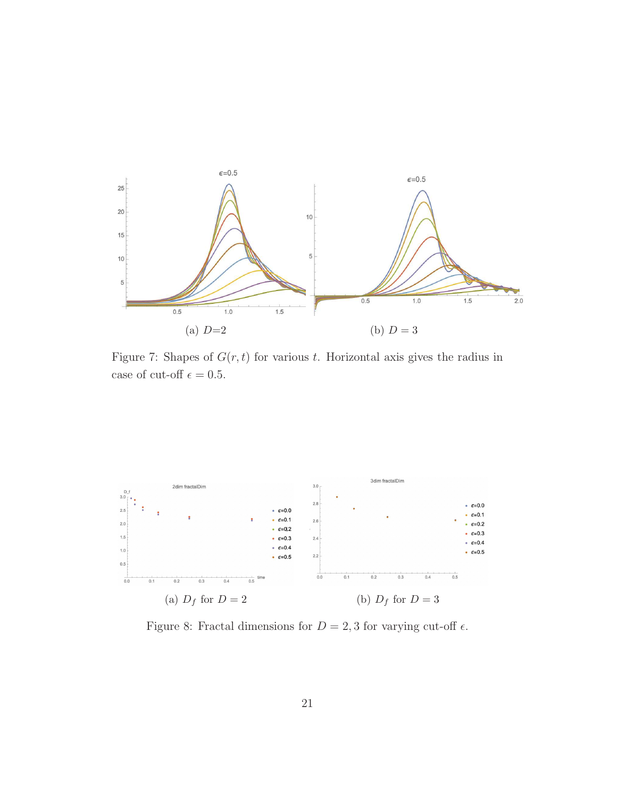<span id="page-21-0"></span>

Figure 7: Shapes of  $G(r, t)$  for various t. Horizontal axis gives the radius in case of cut-off  $\epsilon=0.5.$ 

<span id="page-21-1"></span>

Figure 8: Fractal dimensions for  $D = 2, 3$  for varying cut-off  $\epsilon$ .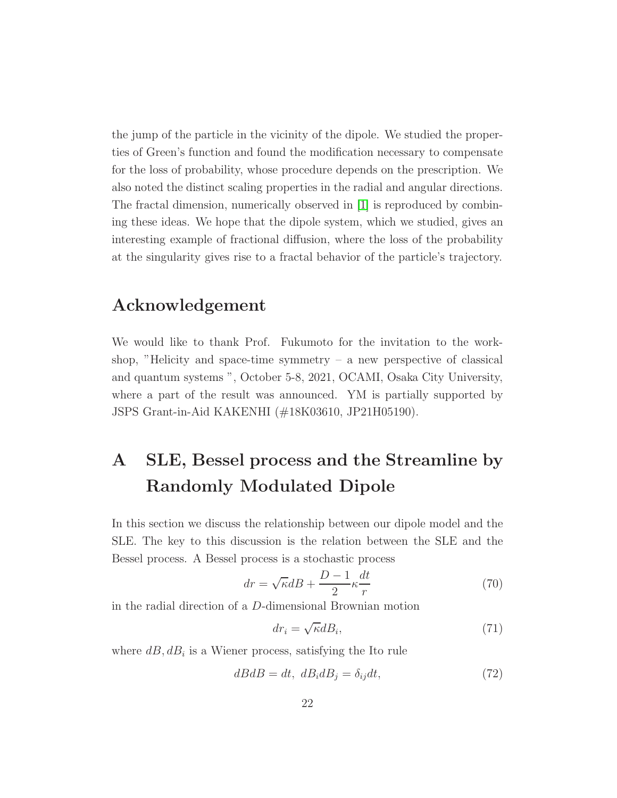the jump of the particle in the vicinity of the dipole. We studied the properties of Green's function and found the modification necessary to compensate for the loss of probability, whose procedure depends on the prescription. We also noted the distinct scaling properties in the radial and angular directions. The fractal dimension, numerically observed in [\[1\]](#page-34-0) is reproduced by combining these ideas. We hope that the dipole system, which we studied, gives an interesting example of fractional diffusion, where the loss of the probability at the singularity gives rise to a fractal behavior of the particle's trajectory.

### Acknowledgement

We would like to thank Prof. Fukumoto for the invitation to the workshop, "Helicity and space-time symmetry  $-$  a new perspective of classical and quantum systems ", October 5-8, 2021, OCAMI, Osaka City University, where a part of the result was announced. YM is partially supported by JSPS Grant-in-Aid KAKENHI (#18K03610, JP21H05190).

# <span id="page-22-0"></span>A SLE, Bessel process and the Streamline by Randomly Modulated Dipole

In this section we discuss the relationship between our dipole model and the SLE. The key to this discussion is the relation between the SLE and the Bessel process. A Bessel process is a stochastic process

$$
dr = \sqrt{\kappa}dB + \frac{D-1}{2}\kappa\frac{dt}{r}
$$
\n(70)

in the radial direction of a D-dimensional Brownian motion

$$
dr_i = \sqrt{\kappa} dB_i,\tag{71}
$$

where  $dB, dB_i$  is a Wiener process, satisfying the Ito rule

$$
dBdB = dt, \ dB_i dB_j = \delta_{ij} dt,\tag{72}
$$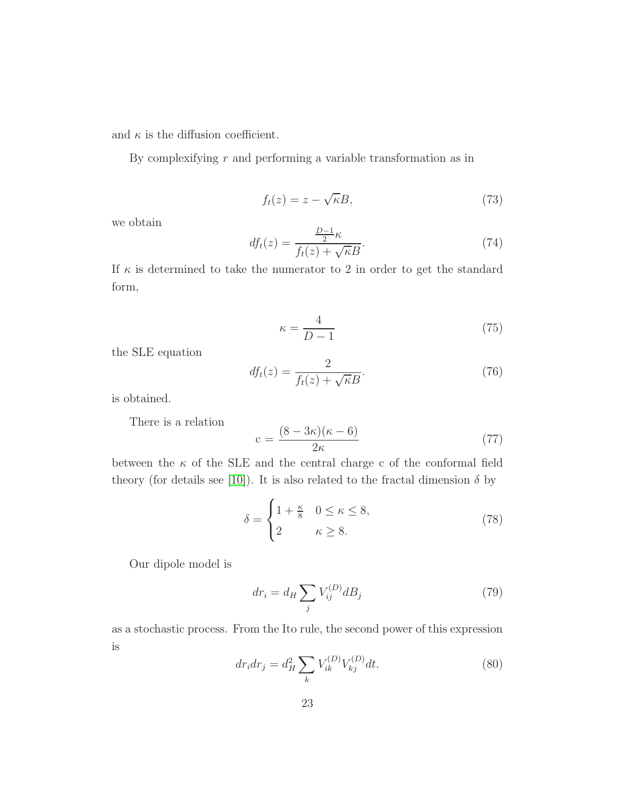and  $\kappa$  is the diffusion coefficient.

By complexifying  $r$  and performing a variable transformation as in

$$
f_t(z) = z - \sqrt{\kappa}B,\tag{73}
$$

we obtain

$$
df_t(z) = \frac{\frac{D-1}{2}\kappa}{f_t(z) + \sqrt{\kappa}B}.\tag{74}
$$

If  $\kappa$  is determined to take the numerator to 2 in order to get the standard form,

$$
\kappa = \frac{4}{D - 1} \tag{75}
$$

the SLE equation

$$
df_t(z) = \frac{2}{f_t(z) + \sqrt{\kappa}B}.\tag{76}
$$

is obtained.

There is a relation

$$
c = \frac{(8 - 3\kappa)(\kappa - 6)}{2\kappa} \tag{77}
$$

between the  $\kappa$  of the SLE and the central charge c of the conformal field theory (for details see [\[10\]](#page-36-1)). It is also related to the fractal dimension  $\delta$  by

$$
\delta = \begin{cases} 1 + \frac{\kappa}{8} & 0 \le \kappa \le 8, \\ 2 & \kappa \ge 8. \end{cases}
$$
 (78)

Our dipole model is

$$
dr_i = d_H \sum_j V_{ij}^{(D)} dB_j \tag{79}
$$

as a stochastic process. From the Ito rule, the second power of this expression is

$$
dr_i dr_j = d_H^2 \sum_k V_{ik}^{(D)} V_{kj}^{(D)} dt.
$$
\n(80)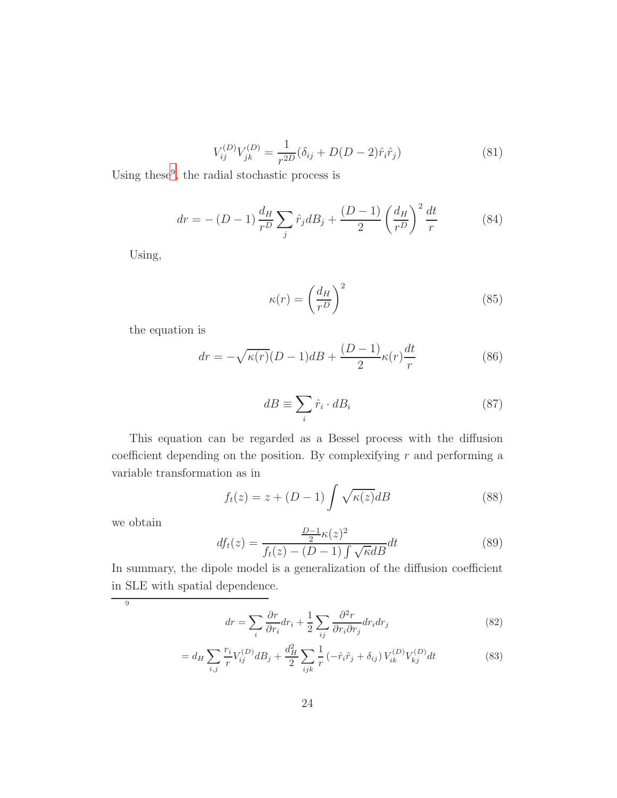$$
V_{ij}^{(D)}V_{jk}^{(D)} = \frac{1}{r^{2D}} (\delta_{ij} + D(D-2)\hat{r}_i \hat{r}_j)
$$
\n(81)

Using these<sup>[9](#page-24-0)</sup>, the radial stochastic process is

$$
dr = - (D - 1) \frac{d_H}{r^D} \sum_j \hat{r}_j d_s + \frac{(D - 1)}{2} \left(\frac{d_H}{r^D}\right)^2 \frac{dt}{r}
$$
 (84)

Using,

$$
\kappa(r) = \left(\frac{d_H}{r^D}\right)^2\tag{85}
$$

the equation is

$$
dr = -\sqrt{\kappa(r)}(D-1)dB + \frac{(D-1)}{2}\kappa(r)\frac{dt}{r}
$$
\n(86)

$$
dB \equiv \sum_{i} \hat{r}_i \cdot dB_i \tag{87}
$$

This equation can be regarded as a Bessel process with the diffusion coefficient depending on the position. By complexifying  $r$  and performing a variable transformation as in

$$
f_t(z) = z + (D - 1) \int \sqrt{\kappa(z)} dB
$$
 (88)

we obtain

$$
df_t(z) = \frac{\frac{D-1}{2}\kappa(z)^2}{f_t(z) - (D-1)\int \sqrt{\kappa}dB}dt
$$
\n(89)

In summary, the dipole model is a generalization of the diffusion coefficient in SLE with spatial dependence.

<span id="page-24-0"></span> $\overline{9}$ 

$$
dr = \sum_{i} \frac{\partial r}{\partial r_i} dr_i + \frac{1}{2} \sum_{ij} \frac{\partial^2 r}{\partial r_i \partial r_j} dr_i dr_j \tag{82}
$$

$$
= d_H \sum_{i,j} \frac{r_i}{r} V_{ij}^{(D)} dB_j + \frac{d_H^2}{2} \sum_{ijk} \frac{1}{r} \left( -\hat{r}_i \hat{r}_j + \delta_{ij} \right) V_{ik}^{(D)} V_{kj}^{(D)} dt \tag{83}
$$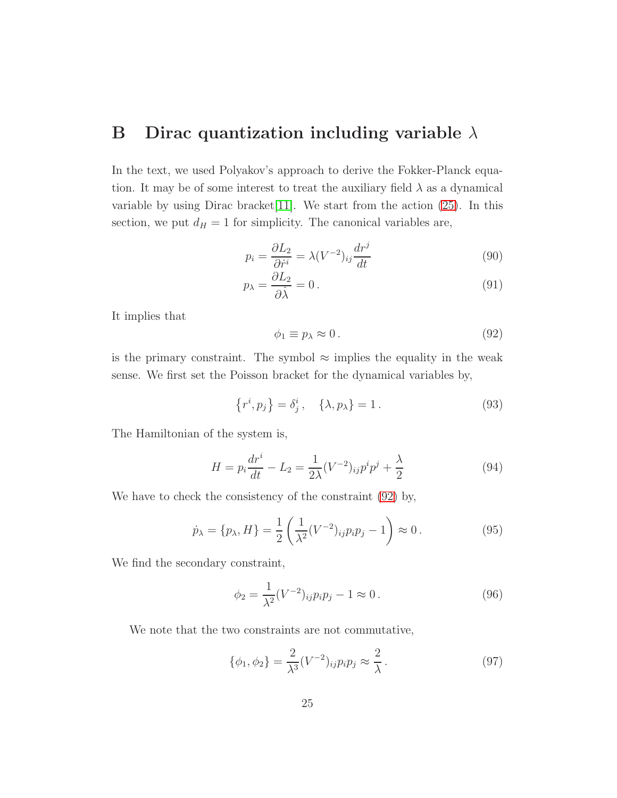### <span id="page-25-0"></span>B Dirac quantization including variable  $\lambda$

In the text, we used Polyakov's approach to derive the Fokker-Planck equation. It may be of some interest to treat the auxiliary field  $\lambda$  as a dynamical variable by using Dirac bracket [\[11\]](#page-36-2). We start from the action  $(25)$ . In this section, we put  $d_H = 1$  for simplicity. The canonical variables are,

$$
p_i = \frac{\partial L_2}{\partial \dot{r}^i} = \lambda (V^{-2})_{ij} \frac{dr^j}{dt}
$$
\n(90)

$$
p_{\lambda} = \frac{\partial L_2}{\partial \dot{\lambda}} = 0. \tag{91}
$$

It implies that

<span id="page-25-1"></span>
$$
\phi_1 \equiv p_\lambda \approx 0. \tag{92}
$$

is the primary constraint. The symbol  $\approx$  implies the equality in the weak sense. We first set the Poisson bracket for the dynamical variables by,

$$
\{r^i, p_j\} = \delta^i_j, \quad \{\lambda, p_\lambda\} = 1. \tag{93}
$$

The Hamiltonian of the system is,

$$
H = p_i \frac{dr^i}{dt} - L_2 = \frac{1}{2\lambda} (V^{-2})_{ij} p^i p^j + \frac{\lambda}{2}
$$
 (94)

We have to check the consistency of the constraint [\(92\)](#page-25-1) by,

$$
\dot{p}_{\lambda} = \{p_{\lambda}, H\} = \frac{1}{2} \left( \frac{1}{\lambda^2} (V^{-2})_{ij} p_i p_j - 1 \right) \approx 0. \tag{95}
$$

We find the secondary constraint,

$$
\phi_2 = \frac{1}{\lambda^2} (V^{-2})_{ij} p_i p_j - 1 \approx 0. \tag{96}
$$

We note that the two constraints are not commutative,

$$
\{\phi_1, \phi_2\} = \frac{2}{\lambda^3} (V^{-2})_{ij} p_i p_j \approx \frac{2}{\lambda} \,. \tag{97}
$$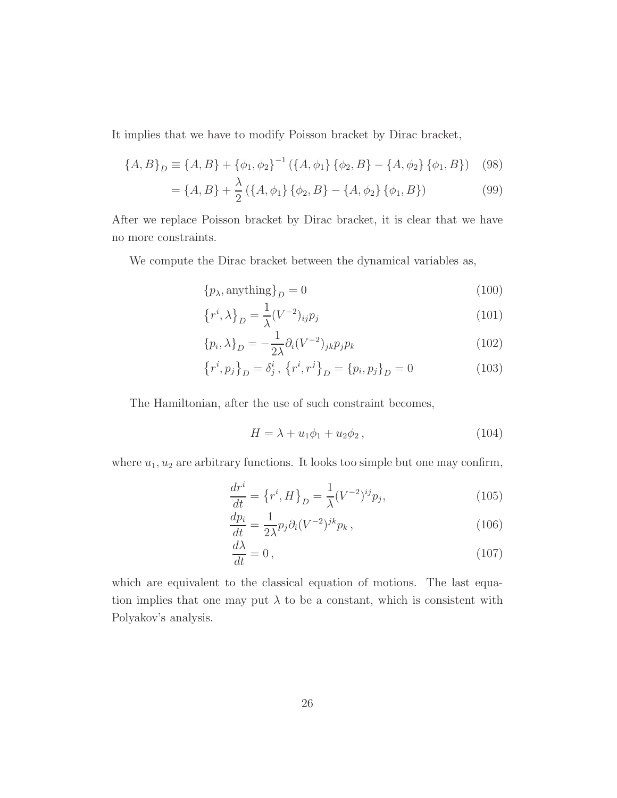It implies that we have to modify Poisson bracket by Dirac bracket,

$$
\{A, B\}_D \equiv \{A, B\} + \{\phi_1, \phi_2\}^{-1} (\{A, \phi_1\} \{\phi_2, B\} - \{A, \phi_2\} \{\phi_1, B\}) \tag{98}
$$

$$
= \{A, B\} + \frac{\lambda}{2} \left( \{A, \phi_1\} \{\phi_2, B\} - \{A, \phi_2\} \{\phi_1, B\} \right) \tag{99}
$$

After we replace Poisson bracket by Dirac bracket, it is clear that we have no more constraints.

We compute the Dirac bracket between the dynamical variables as,

$$
\{p_{\lambda}, \text{anything}\}_D = 0\tag{100}
$$

$$
\left\{r^i, \lambda\right\}_D = \frac{1}{\lambda} (V^{-2})_{ij} p_j \tag{101}
$$

$$
\{p_i, \lambda\}_D = -\frac{1}{2\lambda} \partial_i (V^{-2})_{jk} p_j p_k \tag{102}
$$

$$
\{r^{i}, p_{j}\}_{D} = \delta_{j}^{i}, \{r^{i}, r^{j}\}_{D} = \{p_{i}, p_{j}\}_{D} = 0
$$
\n(103)

The Hamiltonian, after the use of such constraint becomes,

$$
H = \lambda + u_1 \phi_1 + u_2 \phi_2, \qquad (104)
$$

where  $u_1, u_2$  are arbitrary functions. It looks too simple but one may confirm,

$$
\frac{dr^{i}}{dt} = \left\{r^{i}, H\right\}_{D} = \frac{1}{\lambda} (V^{-2})^{ij} p_{j},\tag{105}
$$

$$
\frac{dp_i}{dt} = \frac{1}{2\lambda} p_j \partial_i (V^{-2})^{jk} p_k , \qquad (106)
$$

$$
\frac{d\lambda}{dt} = 0\,,\tag{107}
$$

which are equivalent to the classical equation of motions. The last equation implies that one may put  $\lambda$  to be a constant, which is consistent with Polyakov's analysis.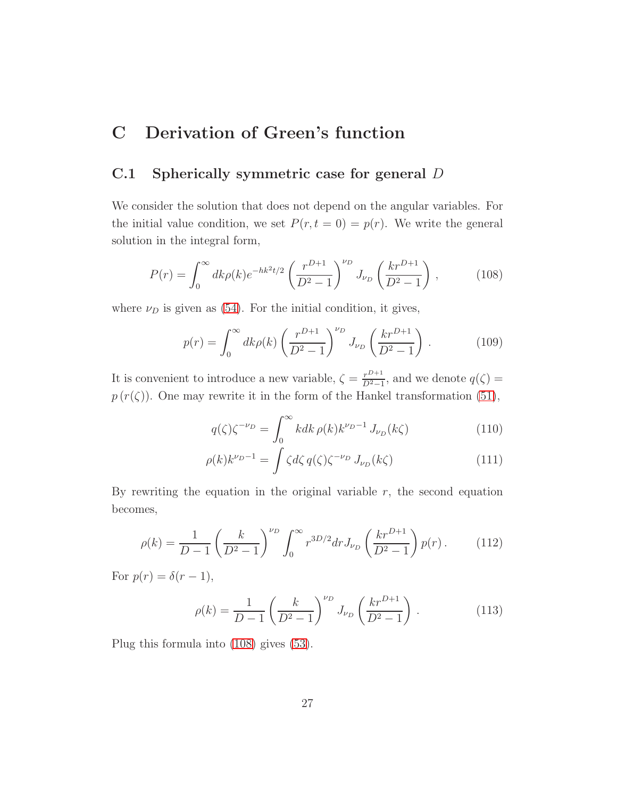### <span id="page-27-0"></span>C Derivation of Green's function

#### C.1 Spherically symmetric case for general D

We consider the solution that does not depend on the angular variables. For the initial value condition, we set  $P(r, t = 0) = p(r)$ . We write the general solution in the integral form,

<span id="page-27-1"></span>
$$
P(r) = \int_0^\infty dk \rho(k) e^{-hk^2 t/2} \left(\frac{r^{D+1}}{D^2 - 1}\right)^{\nu_D} J_{\nu_D} \left(\frac{kr^{D+1}}{D^2 - 1}\right),\tag{108}
$$

where  $\nu_D$  is given as [\(54\)](#page-11-2). For the initial condition, it gives,

$$
p(r) = \int_0^\infty dk \rho(k) \left(\frac{r^{D+1}}{D^2 - 1}\right)^{\nu_D} J_{\nu_D} \left(\frac{kr^{D+1}}{D^2 - 1}\right). \tag{109}
$$

It is convenient to introduce a new variable,  $\zeta = \frac{r^{D+1}}{D^2-1}$  $\frac{r^{D+1}}{D^2-1}$ , and we denote  $q(\zeta) =$  $p(r(\zeta))$ . One may rewrite it in the form of the Hankel transformation [\(51\)](#page-11-3),

$$
q(\zeta)\zeta^{-\nu_D} = \int_0^\infty k dk \,\rho(k)k^{\nu_D - 1} J_{\nu_D}(k\zeta) \tag{110}
$$

$$
\rho(k)k^{\nu_D-1} = \int \zeta d\zeta q(\zeta)\zeta^{-\nu_D} J_{\nu_D}(k\zeta)
$$
\n(111)

By rewriting the equation in the original variable  $r$ , the second equation becomes,

$$
\rho(k) = \frac{1}{D-1} \left(\frac{k}{D^2-1}\right)^{\nu_D} \int_0^\infty r^{3D/2} dr J_{\nu_D} \left(\frac{kr^{D+1}}{D^2-1}\right) p(r) \,. \tag{112}
$$

For  $p(r) = \delta(r-1)$ ,

$$
\rho(k) = \frac{1}{D-1} \left( \frac{k}{D^2 - 1} \right)^{\nu_D} J_{\nu_D} \left( \frac{k r^{D+1}}{D^2 - 1} \right). \tag{113}
$$

Plug this formula into [\(108\)](#page-27-1) gives [\(53\)](#page-11-0).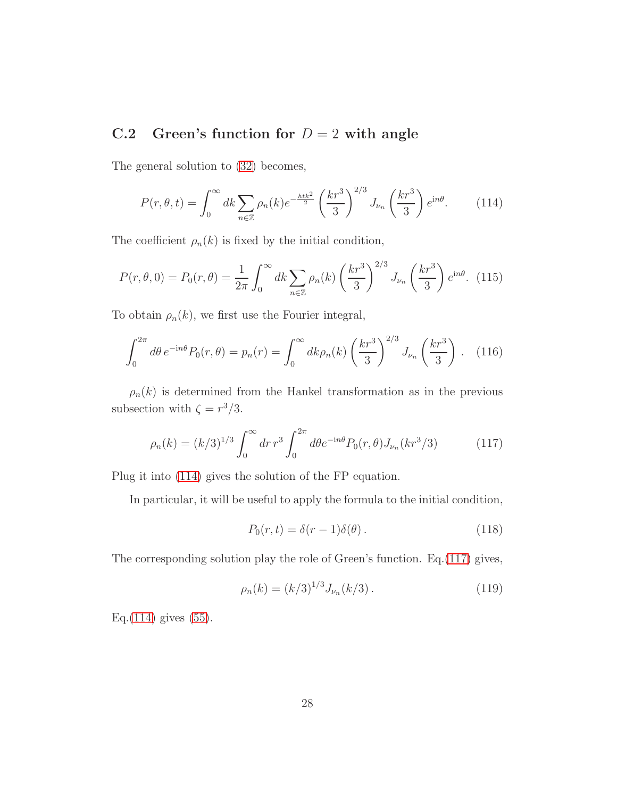### C.2 Green's function for  $D = 2$  with angle

The general solution to [\(32\)](#page-7-0) becomes,

<span id="page-28-0"></span>
$$
P(r, \theta, t) = \int_0^\infty dk \sum_{n \in \mathbb{Z}} \rho_n(k) e^{-\frac{h t k^2}{2}} \left(\frac{k r^3}{3}\right)^{2/3} J_{\nu_n}\left(\frac{k r^3}{3}\right) e^{in\theta}.
$$
 (114)

The coefficient  $\rho_n(k)$  is fixed by the initial condition,

$$
P(r, \theta, 0) = P_0(r, \theta) = \frac{1}{2\pi} \int_0^\infty dk \sum_{n \in \mathbb{Z}} \rho_n(k) \left(\frac{kr^3}{3}\right)^{2/3} J_{\nu_n}\left(\frac{kr^3}{3}\right) e^{\mathrm{i}n\theta}.
$$
 (115)

To obtain  $\rho_n(k)$ , we first use the Fourier integral,

$$
\int_0^{2\pi} d\theta \, e^{-\mathrm{i}n\theta} P_0(r,\theta) = p_n(r) = \int_0^{\infty} dk \rho_n(k) \left(\frac{kr^3}{3}\right)^{2/3} J_{\nu_n}\left(\frac{kr^3}{3}\right). \tag{116}
$$

 $\rho_n(k)$  is determined from the Hankel transformation as in the previous subsection with  $\zeta = r^3/3$ .

$$
\rho_n(k) = (k/3)^{1/3} \int_0^\infty dr \, r^3 \int_0^{2\pi} d\theta e^{-in\theta} P_0(r,\theta) J_{\nu_n}(kr^3/3) \tag{117}
$$

Plug it into [\(114\)](#page-28-0) gives the solution of the FP equation.

In particular, it will be useful to apply the formula to the initial condition,

<span id="page-28-1"></span>
$$
P_0(r,t) = \delta(r-1)\delta(\theta). \tag{118}
$$

The corresponding solution play the role of Green's function. Eq.[\(117\)](#page-28-1) gives,

$$
\rho_n(k) = (k/3)^{1/3} J_{\nu_n}(k/3). \tag{119}
$$

Eq. $(114)$  gives  $(55)$ .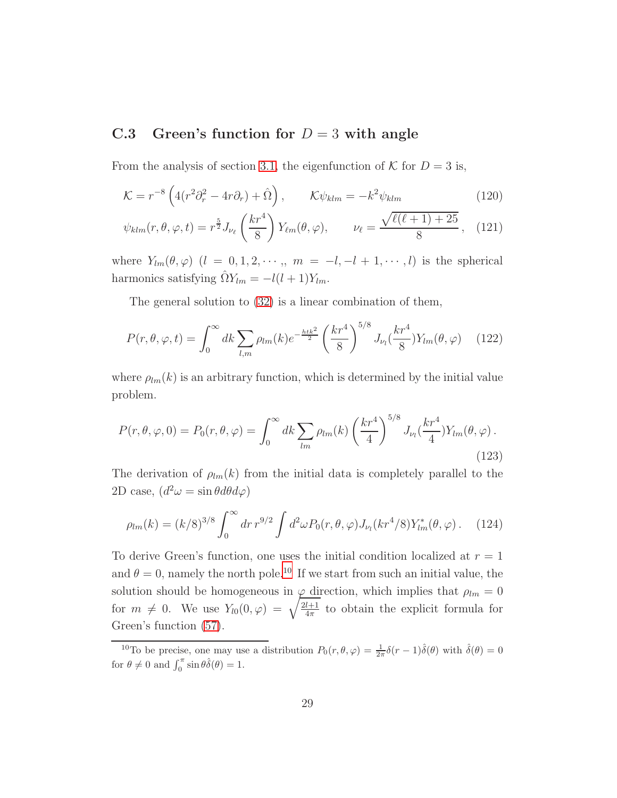### C.3 Green's function for  $D = 3$  with angle

From the analysis of section [3.1,](#page-9-1) the eigenfunction of  $K$  for  $D = 3$  is,

$$
\mathcal{K} = r^{-8} \left( 4(r^2 \partial_r^2 - 4r \partial_r) + \hat{\Omega} \right), \qquad \mathcal{K} \psi_{klm} = -k^2 \psi_{klm} \tag{120}
$$

$$
\psi_{klm}(r,\theta,\varphi,t) = r^{\frac{5}{2}} J_{\nu_{\ell}}\left(\frac{kr^4}{8}\right) Y_{\ell m}(\theta,\varphi), \qquad \nu_{\ell} = \frac{\sqrt{\ell(\ell+1)+25}}{8}, \quad (121)
$$

where  $Y_{lm}(\theta,\varphi)$   $(l = 0,1,2,\cdots, m = -l, -l + 1,\cdots, l)$  is the spherical harmonics satisfying  $\hat{\Omega}Y_{lm} = -l(l+1)Y_{lm}$ .

The general solution to [\(32\)](#page-7-0) is a linear combination of them,

$$
P(r,\theta,\varphi,t) = \int_0^\infty dk \sum_{l,m} \rho_{lm}(k) e^{-\frac{htk^2}{2}} \left(\frac{kr^4}{8}\right)^{5/8} J_{\nu_l}(\frac{kr^4}{8}) Y_{lm}(\theta,\varphi) \tag{122}
$$

where  $\rho_{lm}(k)$  is an arbitrary function, which is determined by the initial value problem.

$$
P(r,\theta,\varphi,0) = P_0(r,\theta,\varphi) = \int_0^\infty dk \sum_{lm} \rho_{lm}(k) \left(\frac{kr^4}{4}\right)^{5/8} J_{\nu_l}(\frac{kr^4}{4}) Y_{lm}(\theta,\varphi).
$$
\n(123)

The derivation of  $\rho_{lm}(k)$  from the initial data is completely parallel to the 2D case,  $(d^2\omega = \sin\theta d\theta d\varphi)$ 

$$
\rho_{lm}(k) = (k/8)^{3/8} \int_0^\infty dr \, r^{9/2} \int d^2\omega P_0(r,\theta,\varphi) J_{\nu_l}(kr^4/8) Y_{lm}^*(\theta,\varphi) \,. \tag{124}
$$

To derive Green's function, one uses the initial condition localized at  $r = 1$ and  $\theta = 0$ , namely the north pole.<sup>[10](#page-29-0)</sup> If we start from such an initial value, the solution should be homogeneous in  $\varphi$  direction, which implies that  $\rho_{lm} = 0$ for  $m \neq 0$ . We use  $Y_{l0}(0,\varphi) = \sqrt{\frac{2l+1}{4\pi}}$  $\frac{l+1}{4\pi}$  to obtain the explicit formula for Green's function [\(57\)](#page-12-1).

<span id="page-29-0"></span><sup>&</sup>lt;sup>10</sup>To be precise, one may use a distribution  $P_0(r, \theta, \varphi) = \frac{1}{2\pi} \delta(r-1)\hat{\delta}(\theta)$  with  $\hat{\delta}(\theta) = 0$ for  $\theta \neq 0$  and  $\int_0^{\pi} \sin \theta \hat{\delta}(\theta) = 1$ .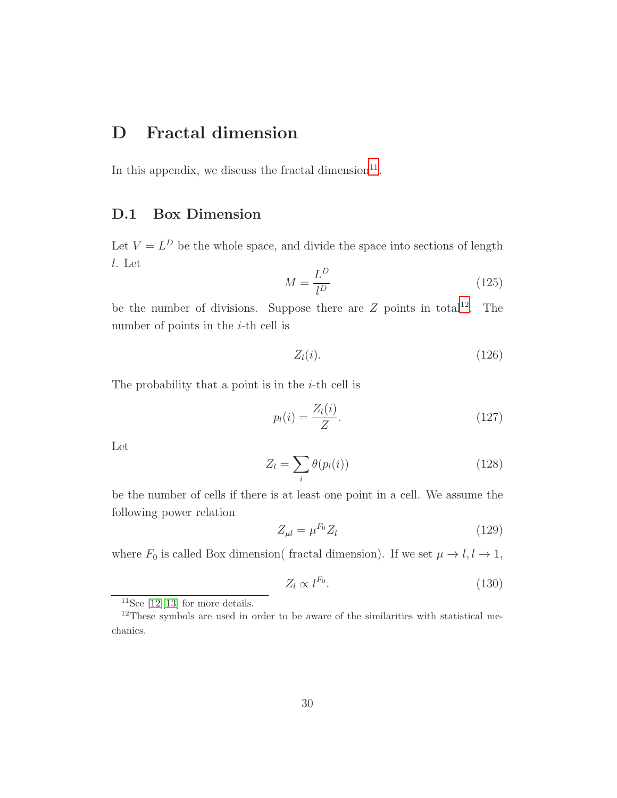### D Fractal dimension

In this appendix, we discuss the fractal dimension $^{11}$  $^{11}$  $^{11}$ .

### D.1 Box Dimension

Let  $V = L^D$  be the whole space, and divide the space into sections of length l. Let  $\overline{D}$ 

$$
M = \frac{L^D}{l^D} \tag{125}
$$

be the number of divisions. Suppose there are  $Z$  points in total<sup>[12](#page-30-1)</sup>. The number of points in the  $i$ -th cell is

$$
Z_l(i). \t\t(126)
$$

The probability that a point is in the  $i$ -th cell is

$$
p_l(i) = \frac{Z_l(i)}{Z}.\tag{127}
$$

Let

$$
Z_l = \sum_i \theta(p_l(i)) \tag{128}
$$

be the number of cells if there is at least one point in a cell. We assume the following power relation

$$
Z_{\mu l} = \mu^{F_0} Z_l \tag{129}
$$

where  $F_0$  is called Box dimension( fractal dimension). If we set  $\mu \to l, l \to 1$ ,

$$
Z_l \propto l^{F_0}.\tag{130}
$$

<span id="page-30-0"></span><sup>&</sup>lt;sup>11</sup>See [\[12\]](#page-36-3)[\[13\]](#page-36-4) for more details.

<span id="page-30-1"></span><sup>12</sup>These symbols are used in order to be aware of the similarities with statistical mechanics.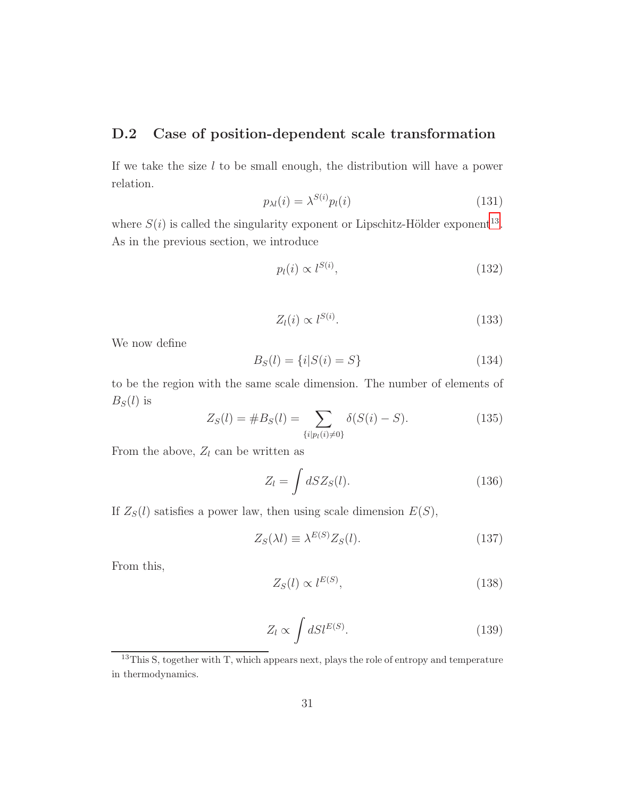#### D.2 Case of position-dependent scale transformation

If we take the size  $l$  to be small enough, the distribution will have a power relation.

$$
p_{\lambda l}(i) = \lambda^{S(i)} p_l(i) \tag{131}
$$

where  $S(i)$  is called the singularity exponent or Lipschitz-Hölder exponent<sup>[13](#page-31-0)</sup>. As in the previous section, we introduce

$$
p_l(i) \propto l^{S(i)},\tag{132}
$$

$$
Z_l(i) \propto l^{S(i)}.\tag{133}
$$

We now define

$$
B_S(l) = \{i|S(i) = S\}
$$
\n(134)

to be the region with the same scale dimension. The number of elements of  $B<sub>S</sub>(l)$  is

$$
Z_S(l) = \#B_S(l) = \sum_{\{i|p_l(i)\neq 0\}} \delta(S(i) - S). \tag{135}
$$

From the above,  $Z_l$  can be written as

$$
Z_l = \int dS Z_S(l). \tag{136}
$$

If  $Z_S(l)$  satisfies a power law, then using scale dimension  $E(S)$ ,

$$
Z_S(\lambda l) \equiv \lambda^{E(S)} Z_S(l). \tag{137}
$$

From this,

$$
Z_S(l) \propto l^{E(S)},\tag{138}
$$

$$
Z_l \propto \int dS l^{E(S)}.\tag{139}
$$

<span id="page-31-0"></span> $13$ This S, together with T, which appears next, plays the role of entropy and temperature in thermodynamics.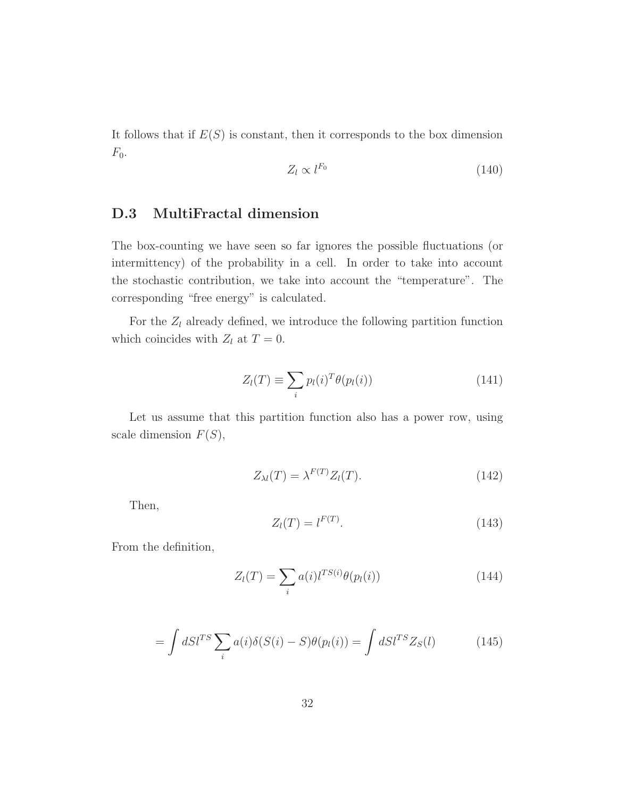It follows that if  $E(S)$  is constant, then it corresponds to the box dimension  $F_0$ .

$$
Z_l \propto l^{F_0} \tag{140}
$$

### D.3 MultiFractal dimension

The box-counting we have seen so far ignores the possible fluctuations (or intermittency) of the probability in a cell. In order to take into account the stochastic contribution, we take into account the "temperature". The corresponding "free energy" is calculated.

For the  $Z_l$  already defined, we introduce the following partition function which coincides with  $Z_l$  at  $T = 0$ .

$$
Z_l(T) \equiv \sum_i p_l(i)^T \theta(p_l(i)) \tag{141}
$$

Let us assume that this partition function also has a power row, using scale dimension  $F(S)$ ,

$$
Z_{\lambda l}(T) = \lambda^{F(T)} Z_l(T). \tag{142}
$$

Then,

$$
Z_l(T) = l^{F(T)}.
$$
\n
$$
(143)
$$

From the definition,

$$
Z_l(T) = \sum_i a(i) l^{TS(i)} \theta(p_l(i)) \tag{144}
$$

$$
= \int dS l^{TS} \sum_{i} a(i) \delta(S(i) - S) \theta(p_l(i)) = \int dS l^{TS} Z_S(l) \tag{145}
$$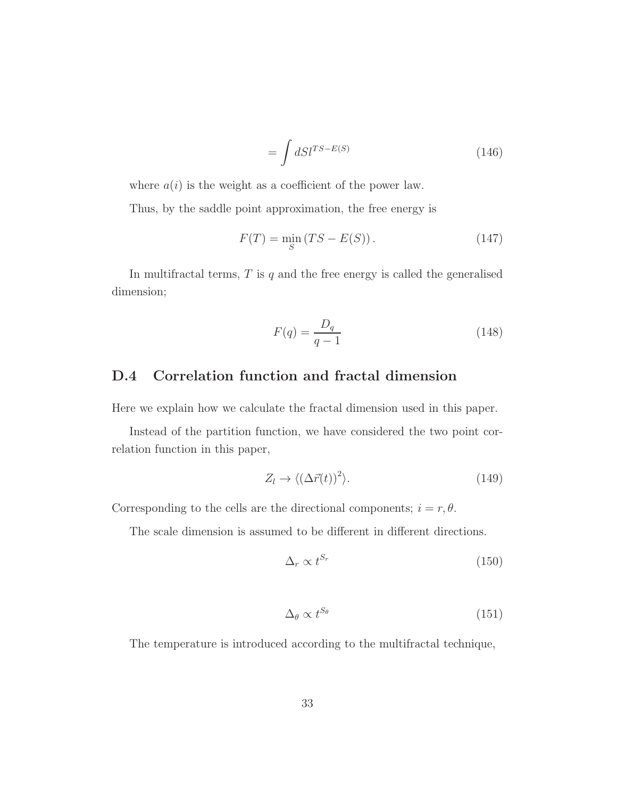$$
=\int dS l^{TS-E(S)}\tag{146}
$$

where  $a(i)$  is the weight as a coefficient of the power law.

Thus, by the saddle point approximation, the free energy is

$$
F(T) = \min_{S} (TS - E(S)). \tag{147}
$$

In multifractal terms,  $T$  is  $q$  and the free energy is called the generalised dimension;

$$
F(q) = \frac{D_q}{q - 1} \tag{148}
$$

#### D.4 Correlation function and fractal dimension

Here we explain how we calculate the fractal dimension used in this paper.

Instead of the partition function, we have considered the two point correlation function in this paper,

$$
Z_l \to \langle (\Delta \vec{r}(t))^2 \rangle. \tag{149}
$$

Corresponding to the cells are the directional components;  $i = r, \theta$ .

The scale dimension is assumed to be different in different directions.

$$
\Delta_r \propto t^{S_r} \tag{150}
$$

$$
\Delta_{\theta} \propto t^{S_{\theta}} \tag{151}
$$

The temperature is introduced according to the multifractal technique,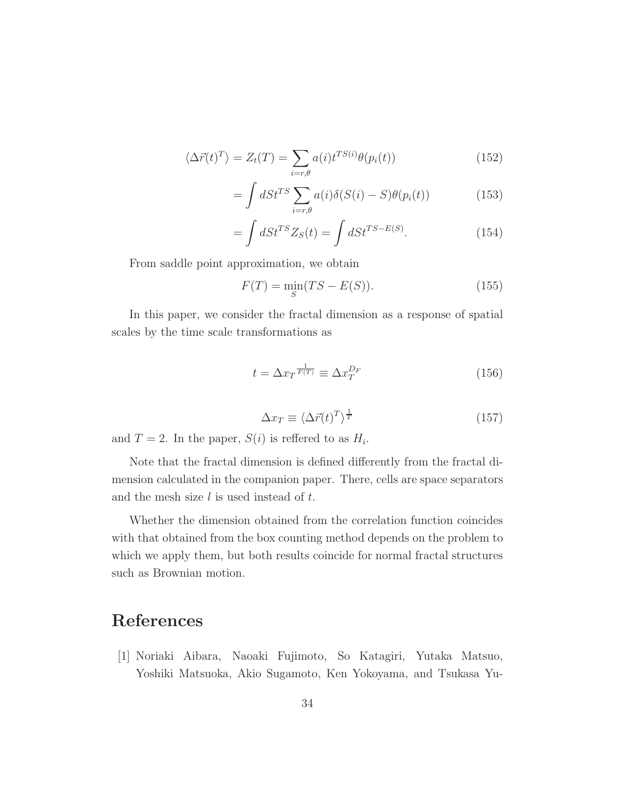$$
\langle \Delta \vec{r}(t)^{T} \rangle = Z_{t}(T) = \sum_{i=r,\theta} a(i) t^{TS(i)} \theta(p_{i}(t))
$$
\n(152)

$$
= \int dSt^{TS} \sum_{i=r,\theta} a(i)\delta(S(i) - S)\theta(p_i(t)) \tag{153}
$$

$$
=\int dSt^{TS}Z_S(t) = \int dSt^{TS-E(S)}.
$$
\n(154)

From saddle point approximation, we obtain

$$
F(T) = \min_{S} (TS - E(S)).
$$
\n(155)

In this paper, we consider the fractal dimension as a response of spatial scales by the time scale transformations as

$$
t = \Delta x_T^{\frac{1}{F(T)}} \equiv \Delta x_T^{D_F} \tag{156}
$$

$$
\Delta x_T \equiv \langle \Delta \vec{r}(t)^T \rangle^{\frac{1}{T}} \tag{157}
$$

and  $T = 2$ . In the paper,  $S(i)$  is reflered to as  $H_i$ .

Note that the fractal dimension is defined differently from the fractal dimension calculated in the companion paper. There, cells are space separators and the mesh size  $l$  is used instead of  $t$ .

Whether the dimension obtained from the correlation function coincides with that obtained from the box counting method depends on the problem to which we apply them, but both results coincide for normal fractal structures such as Brownian motion.

## <span id="page-34-0"></span>References

[1] Noriaki Aibara, Naoaki Fujimoto, So Katagiri, Yutaka Matsuo, Yoshiki Matsuoka, Akio Sugamoto, Ken Yokoyama, and Tsukasa Yu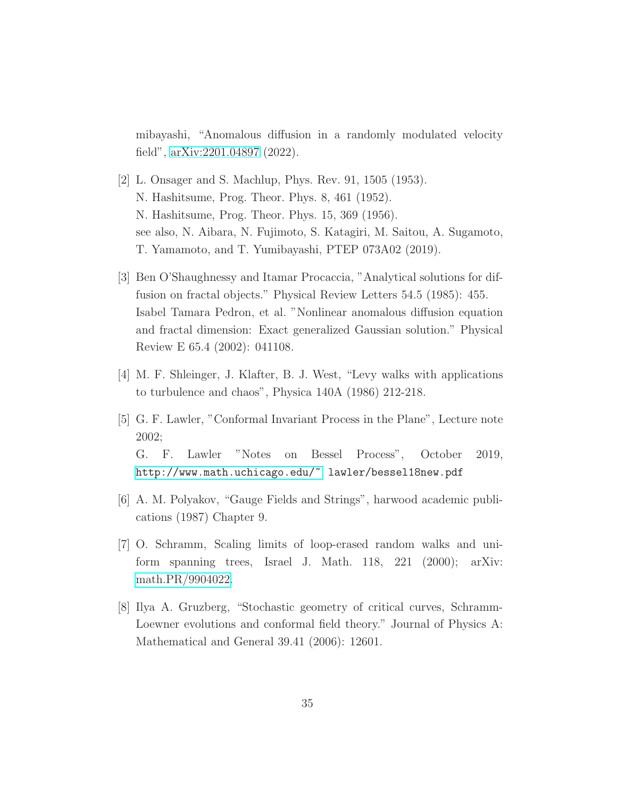mibayashi, "Anomalous diffusion in a randomly modulated velocity field", [arXiv:2201.04897](http://arxiv.org/abs/2201.04897) (2022).

- <span id="page-35-0"></span>[2] L. Onsager and S. Machlup, Phys. Rev. 91, 1505 (1953). N. Hashitsume, Prog. Theor. Phys. 8, 461 (1952). N. Hashitsume, Prog. Theor. Phys. 15, 369 (1956). see also, N. Aibara, N. Fujimoto, S. Katagiri, M. Saitou, A. Sugamoto, T. Yamamoto, and T. Yumibayashi, PTEP 073A02 (2019).
- <span id="page-35-1"></span>[3] Ben O'Shaughnessy and Itamar Procaccia, "Analytical solutions for diffusion on fractal objects." Physical Review Letters 54.5 (1985): 455. Isabel Tamara Pedron, et al. "Nonlinear anomalous diffusion equation and fractal dimension: Exact generalized Gaussian solution." Physical Review E 65.4 (2002): 041108.
- <span id="page-35-3"></span><span id="page-35-2"></span>[4] M. F. Shleinger, J. Klafter, B. J. West, "Levy walks with applications to turbulence and chaos", Physica 140A (1986) 212-218.
- [5] G. F. Lawler, "Conformal Invariant Process in the Plane", Lecture note 2002; G. F. Lawler "Notes on Bessel Process", October 2019, <http://www.math.uchicago.edu/~> lawler/bessel18new.pdf
- <span id="page-35-6"></span><span id="page-35-4"></span>[6] A. M. Polyakov, "Gauge Fields and Strings", harwood academic publications (1987) Chapter 9.
- [7] O. Schramm, Scaling limits of loop-erased random walks and uniform spanning trees, Israel J. Math. 118, 221 (2000); arXiv: [math.PR/9904022.](http://arxiv.org/abs/math/9904022)
- <span id="page-35-5"></span>[8] Ilya A. Gruzberg, "Stochastic geometry of critical curves, Schramm-Loewner evolutions and conformal field theory." Journal of Physics A: Mathematical and General 39.41 (2006): 12601.